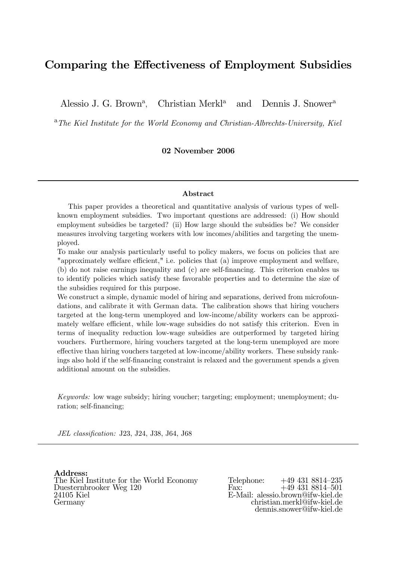## Comparing the Effectiveness of Employment Subsidies

Alessio J. G. Brown<sup>a</sup>, Christian Merkl<sup>a</sup> and Dennis J. Snower<sup>a</sup>

<sup>a</sup>The Kiel Institute for the World Economy and Christian-Albrechts-University, Kiel

02 November 2006

#### Abstract

This paper provides a theoretical and quantitative analysis of various types of wellknown employment subsidies. Two important questions are addressed: (i) How should employment subsidies be targeted? (ii) How large should the subsidies be? We consider measures involving targeting workers with low incomes/abilities and targeting the unemployed.

To make our analysis particularly useful to policy makers, we focus on policies that are "approximately welfare efficient," i.e. policies that (a) improve employment and welfare, (b) do not raise earnings inequality and (c) are self-financing. This criterion enables us to identify policies which satisfy these favorable properties and to determine the size of the subsidies required for this purpose.

We construct a simple, dynamic model of hiring and separations, derived from microfoundations, and calibrate it with German data. The calibration shows that hiring vouchers targeted at the long-term unemployed and low-income/ability workers can be approximately welfare efficient, while low-wage subsidies do not satisfy this criterion. Even in terms of inequality reduction low-wage subsidies are outperformed by targeted hiring vouchers. Furthermore, hiring vouchers targeted at the long-term unemployed are more effective than hiring vouchers targeted at low-income/ability workers. These subsidy rankings also hold if the self-financing constraint is relaxed and the government spends a given additional amount on the subsidies.

Keywords: low wage subsidy; hiring voucher; targeting; employment; unemployment; duration; self-financing;

JEL classification: J23, J24, J38, J64, J68

Address: The Kiel Institute for the World Economy<br>Duesternbrooker Weg 120<br>Fax: +49 431 8814-501 Duesternbrooker Weg $120$ 24105 Kiel 24105 Kiel E-Mail: alessio.brown@ifw-kiel.de

Germany christian.merkl@ifw-kiel.de dennis.snower@ifw-kiel.de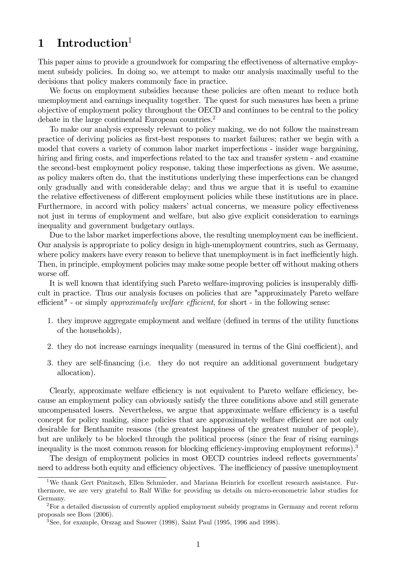# 1 Introduction<sup>1</sup>

This paper aims to provide a groundwork for comparing the effectiveness of alternative employment subsidy policies. In doing so, we attempt to make our analysis maximally useful to the decisions that policy makers commonly face in practice.

We focus on employment subsidies because these policies are often meant to reduce both unemployment and earnings inequality together. The quest for such measures has been a prime objective of employment policy throughout the OECD and continues to be central to the policy debate in the large continental European countries.<sup>2</sup>

To make our analysis expressly relevant to policy making, we do not follow the mainstream practice of deriving policies as first-best responses to market failures; rather we begin with a model that covers a variety of common labor market imperfections - insider wage bargaining, hiring and firing costs, and imperfections related to the tax and transfer system - and examine the second-best employment policy response, taking these imperfections as given. We assume, as policy makers often do, that the institutions underlying these imperfections can be changed only gradually and with considerable delay; and thus we argue that it is useful to examine the relative effectiveness of different employment policies while these institutions are in place. Furthermore, in accord with policy makers' actual concerns, we measure policy effectiveness not just in terms of employment and welfare, but also give explicit consideration to earnings inequality and government budgetary outlays.

Due to the labor market imperfections above, the resulting unemployment can be inefficient. Our analysis is appropriate to policy design in high-unemployment countries, such as Germany, where policy makers have every reason to believe that unemployment is in fact inefficiently high. Then, in principle, employment policies may make some people better off without making others worse off.

It is well known that identifying such Pareto welfare-improving policies is insuperably difficult in practice. Thus our analysis focuses on policies that are "approximately Pareto welfare efficient" - or simply approximately welfare efficient, for short - in the following sense:

- 1. they improve aggregate employment and welfare (defined in terms of the utility functions of the households),
- 2. they do not increase earnings inequality (measured in terms of the Gini coefficient), and
- 3. they are self-financing (i.e. they do not require an additional government budgetary allocation).

Clearly, approximate welfare efficiency is not equivalent to Pareto welfare efficiency, because an employment policy can obviously satisfy the three conditions above and still generate uncompensated losers. Nevertheless, we argue that approximate welfare efficiency is a useful concept for policy making, since policies that are approximately welfare efficient are not only desirable for Benthamite reasons (the greatest happiness of the greatest number of people), but are unlikely to be blocked through the political process (since the fear of rising earnings inequality is the most common reason for blocking efficiency-improving employment reforms).<sup>3</sup>

The design of employment policies in most OECD countries indeed reflects governments' need to address both equity and efficiency objectives. The inefficiency of passive unemployment

<sup>&</sup>lt;sup>1</sup>We thank Gert Pönitzsch, Ellen Schmieder, and Mariana Heinrich for excellent research assistance. Furthermore, we are very grateful to Ralf Wilke for providing us details on micro-econometric labor studies for Germany.

<sup>2</sup>For a detailed discussion of currently applied employment subsidy programs in Germany and recent reform proposals see Boss (2006).

<sup>3</sup>See, for example, Orszag and Snower (1998), Saint Paul (1995, 1996 and 1998).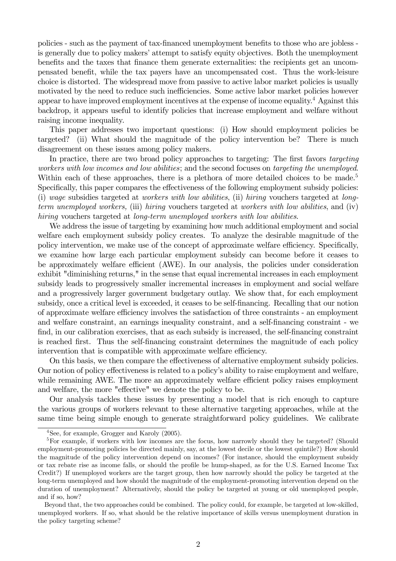policies - such as the payment of tax-financed unemployment benefits to those who are jobless is generally due to policy makers' attempt to satisfy equity objectives. Both the unemployment benefits and the taxes that finance them generate externalities: the recipients get an uncompensated benefit, while the tax payers have an uncompensated cost. Thus the work-leisure choice is distorted. The widespread move from passive to active labor market policies is usually motivated by the need to reduce such inefficiencies. Some active labor market policies however appear to have improved employment incentives at the expense of income equality.4 Against this backdrop, it appears useful to identify policies that increase employment and welfare without raising income inequality.

This paper addresses two important questions: (i) How should employment policies be targeted? (ii) What should the magnitude of the policy intervention be? There is much disagreement on these issues among policy makers.

In practice, there are two broad policy approaches to targeting: The first favors targeting workers with low incomes and low abilities; and the second focuses on targeting the unemployed. Within each of these approaches, there is a plethora of more detailed choices to be made.<sup>5</sup> Specifically, this paper compares the effectiveness of the following employment subsidy policies: (i) wage subsidies targeted at workers with low abilities, (ii) hiring vouchers targeted at longterm unemployed workers, (iii) hiring vouchers targeted at workers with low abilities, and (iv) hiring vouchers targeted at long-term unemployed workers with low abilities.

We address the issue of targeting by examining how much additional employment and social welfare each employment subsidy policy creates. To analyze the desirable magnitude of the policy intervention, we make use of the concept of approximate welfare efficiency. Specifically, we examine how large each particular employment subsidy can become before it ceases to be approximately welfare efficient (AWE). In our analysis, the policies under consideration exhibit "diminishing returns," in the sense that equal incremental increases in each employment subsidy leads to progressively smaller incremental increases in employment and social welfare and a progressively larger government budgetary outlay. We show that, for each employment subsidy, once a critical level is exceeded, it ceases to be self-financing. Recalling that our notion of approximate welfare efficiency involves the satisfaction of three constraints - an employment and welfare constraint, an earnings inequality constraint, and a self-financing constraint - we find, in our calibration exercises, that as each subsidy is increased, the self-financing constraint is reached first. Thus the self-financing constraint determines the magnitude of each policy intervention that is compatible with approximate welfare efficiency.

On this basis, we then compare the effectiveness of alternative employment subsidy policies. Our notion of policy effectiveness is related to a policy's ability to raise employment and welfare, while remaining AWE. The more an approximately welfare efficient policy raises employment and welfare, the more "effective" we denote the policy to be.

Our analysis tackles these issues by presenting a model that is rich enough to capture the various groups of workers relevant to these alternative targeting approaches, while at the same time being simple enough to generate straightforward policy guidelines. We calibrate

<sup>4</sup>See, for example, Grogger and Karoly (2005).

<sup>5</sup>For example, if workers with low incomes are the focus, how narrowly should they be targeted? (Should employment-promoting policies be directed mainly, say, at the lowest decile or the lowest quintile?) How should the magnitude of the policy intervention depend on incomes? (For instance, should the employment subsidy or tax rebate rise as income falls, or should the profile be hump-shaped, as for the U.S. Earned Income Tax Credit?) If unemployed workers are the target group, then how narrowly should the policy be targeted at the long-term unemployed and how should the magnitude of the employment-promoting intervention depend on the duration of unemployment? Alternatively, should the policy be targeted at young or old unemployed people, and if so, how?

Beyond that, the two approaches could be combined. The policy could, for example, be targeted at low-skilled, unemployed workers. If so, what should be the relative importance of skills versus unemployment duration in the policy targeting scheme?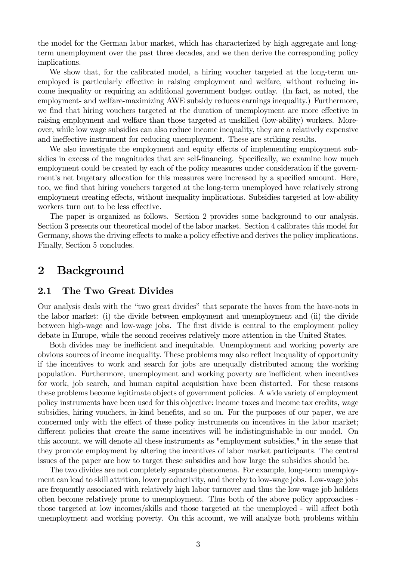the model for the German labor market, which has characterized by high aggregate and longterm unemployment over the past three decades, and we then derive the corresponding policy implications.

We show that, for the calibrated model, a hiring voucher targeted at the long-term unemployed is particularly effective in raising employment and welfare, without reducing income inequality or requiring an additional government budget outlay. (In fact, as noted, the employment- and welfare-maximizing AWE subsidy reduces earnings inequality.) Furthermore, we find that hiring vouchers targeted at the duration of unemployment are more effective in raising employment and welfare than those targeted at unskilled (low-ability) workers. Moreover, while low wage subsidies can also reduce income inequality, they are a relatively expensive and ineffective instrument for reducing unemployment. These are striking results.

We also investigate the employment and equity effects of implementing employment subsidies in excess of the magnitudes that are self-financing. Specifically, we examine how much employment could be created by each of the policy measures under consideration if the government's net bugetary allocation for this measures were increased by a specified amount. Here, too, we find that hiring vouchers targeted at the long-term unemployed have relatively strong employment creating effects, without inequality implications. Subsidies targeted at low-ability workers turn out to be less effective.

The paper is organized as follows. Section 2 provides some background to our analysis. Section 3 presents our theoretical model of the labor market. Section 4 calibrates this model for Germany, shows the driving effects to make a policy effective and derives the policy implications. Finally, Section 5 concludes.

## 2 Background

### 2.1 The Two Great Divides

Our analysis deals with the "two great divides" that separate the haves from the have-nots in the labor market: (i) the divide between employment and unemployment and (ii) the divide between high-wage and low-wage jobs. The first divide is central to the employment policy debate in Europe, while the second receives relatively more attention in the United States.

Both divides may be inefficient and inequitable. Unemployment and working poverty are obvious sources of income inequality. These problems may also reflect inequality of opportunity if the incentives to work and search for jobs are unequally distributed among the working population. Furthermore, unemployment and working poverty are inefficient when incentives for work, job search, and human capital acquisition have been distorted. For these reasons these problems become legitimate objects of government policies. A wide variety of employment policy instruments have been used for this objective: income taxes and income tax credits, wage subsidies, hiring vouchers, in-kind benefits, and so on. For the purposes of our paper, we are concerned only with the effect of these policy instruments on incentives in the labor market; different policies that create the same incentives will be indistinguishable in our model. On this account, we will denote all these instruments as "employment subsidies," in the sense that they promote employment by altering the incentives of labor market participants. The central issues of the paper are how to target these subsidies and how large the subsidies should be.

The two divides are not completely separate phenomena. For example, long-term unemployment can lead to skill attrition, lower productivity, and thereby to low-wage jobs. Low-wage jobs are frequently associated with relatively high labor turnover and thus the low-wage job holders often become relatively prone to unemployment. Thus both of the above policy approaches those targeted at low incomes/skills and those targeted at the unemployed - will affect both unemployment and working poverty. On this account, we will analyze both problems within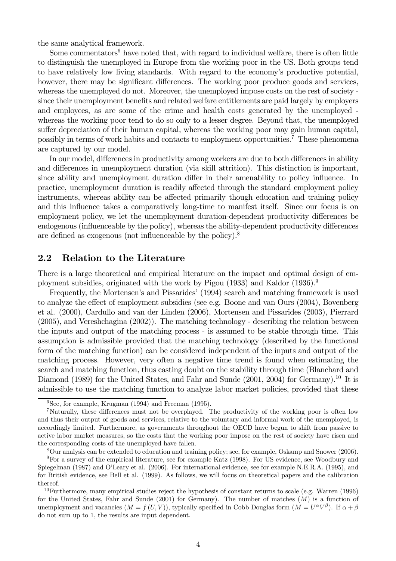the same analytical framework.

Some commentators<sup>6</sup> have noted that, with regard to individual welfare, there is often little to distinguish the unemployed in Europe from the working poor in the US. Both groups tend to have relatively low living standards. With regard to the economy's productive potential, however, there may be significant differences. The working poor produce goods and services, whereas the unemployed do not. Moreover, the unemployed impose costs on the rest of society since their unemployment benefits and related welfare entitlements are paid largely by employers and employees, as are some of the crime and health costs generated by the unemployed whereas the working poor tend to do so only to a lesser degree. Beyond that, the unemployed suffer depreciation of their human capital, whereas the working poor may gain human capital, possibly in terms of work habits and contacts to employment opportunities.7 These phenomena are captured by our model.

In our model, differences in productivity among workers are due to both differences in ability and differences in unemployment duration (via skill attrition). This distinction is important, since ability and unemployment duration differ in their amenability to policy influence. In practice, unemployment duration is readily affected through the standard employment policy instruments, whereas ability can be affected primarily though education and training policy and this influence takes a comparatively long-time to manifest itself. Since our focus is on employment policy, we let the unemployment duration-dependent productivity differences be endogenous (influenceable by the policy), whereas the ability-dependent productivity differences are defined as exogenous (not influenceable by the policy).8

### 2.2 Relation to the Literature

There is a large theoretical and empirical literature on the impact and optimal design of employment subsidies, originated with the work by Pigou (1933) and Kaldor (1936).9

Frequently, the Mortensen's and Pissarides' (1994) search and matching framework is used to analyze the effect of employment subsidies (see e.g. Boone and van Ours (2004), Bovenberg et al. (2000), Cardullo and van der Linden (2006), Mortensen and Pissarides (2003), Pierrard (2005), and Vereshchagina (2002)). The matching technology - describing the relation between the inputs and output of the matching process - is assumed to be stable through time. This assumption is admissible provided that the matching technology (described by the functional form of the matching function) can be considered independent of the inputs and output of the matching process. However, very often a negative time trend is found when estimating the search and matching function, thus casting doubt on the stability through time (Blanchard and Diamond (1989) for the United States, and Fahr and Sunde (2001, 2004) for Germany).<sup>10</sup> It is admissible to use the matching function to analyze labor market policies, provided that these

8Our analysis can be extended to education and training policy; see, for example, Oskamp and Snower (2006). <sup>9</sup>For a survey of the empirical literature, see for example Katz (1998). For US evidence, see Woodbury and

 ${}^{6}$ See, for example, Krugman (1994) and Freeman (1995).

<sup>&</sup>lt;sup>7</sup>Naturally, these differences must not be overplayed. The productivity of the working poor is often low and thus their output of goods and services, relative to the voluntary and informal work of the unemployed, is accordingly limited. Furthermore, as governments throughout the OECD have begun to shift from passive to active labor market measures, so the costs that the working poor impose on the rest of society have risen and the corresponding costs of the unemployed have fallen.

Spiegelman (1987) and O'Leary et al. (2006). For international evidence, see for example N.E.R.A. (1995), and for British evidence, see Bell et al. (1999). As follows, we will focus on theoretical papers and the calibration thereof.

 $10$ Furthermore, many empirical studies reject the hypothesis of constant returns to scale (e.g. Warren (1996) for the United States, Fahr and Sunde  $(2001)$  for Germany). The number of matches  $(M)$  is a function of unemployment and vacancies  $(M = f(U, V))$ , typically specified in Cobb Douglas form  $(M = U^{\alpha}V^{\beta})$ . If  $\alpha + \beta$ do not sum up to 1, the results are input dependent.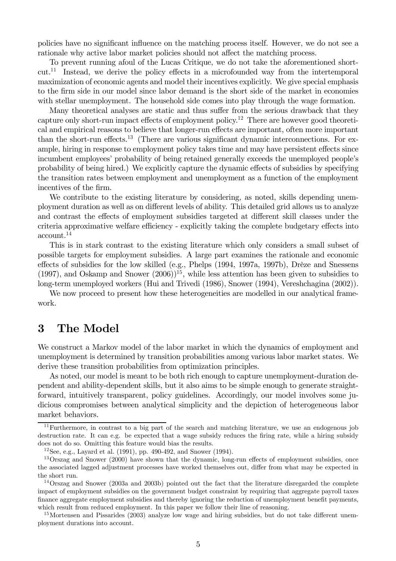policies have no significant influence on the matching process itself. However, we do not see a rationale why active labor market policies should not affect the matching process.

To prevent running afoul of the Lucas Critique, we do not take the aforementioned shortcut.11 Instead, we derive the policy effects in a microfounded way from the intertemporal maximization of economic agents and model their incentives explicitly. We give special emphasis to the firm side in our model since labor demand is the short side of the market in economies with stellar unemployment. The household side comes into play through the wage formation.

Many theoretical analyses are static and thus suffer from the serious drawback that they capture only short-run impact effects of employment policy.12 There are however good theoretical and empirical reasons to believe that longer-run effects are important, often more important than the short-run effects.<sup>13</sup> (There are various significant dynamic interconnections. For example, hiring in response to employment policy takes time and may have persistent effects since incumbent employees' probability of being retained generally exceeds the unemployed people's probability of being hired.) We explicitly capture the dynamic effects of subsidies by specifying the transition rates between employment and unemployment as a function of the employment incentives of the firm.

We contribute to the existing literature by considering, as noted, skills depending unemployment duration as well as on different levels of ability. This detailed grid allows us to analyze and contrast the effects of employment subsidies targeted at different skill classes under the criteria approximative welfare efficiency - explicitly taking the complete budgetary effects into account.14

This is in stark contrast to the existing literature which only considers a small subset of possible targets for employment subsidies. A large part examines the rationale and economic effects of subsidies for the low skilled (e.g., Phelps (1994, 1997a, 1997b), Drèze and Snessens (1997), and Oskamp and Snower  $(2006)$ <sup>15</sup>, while less attention has been given to subsidies to long-term unemployed workers (Hui and Trivedi (1986), Snower (1994), Vereshchagina (2002)).

We now proceed to present how these heterogeneities are modelled in our analytical framework.

## 3 The Model

We construct a Markov model of the labor market in which the dynamics of employment and unemployment is determined by transition probabilities among various labor market states. We derive these transition probabilities from optimization principles.

As noted, our model is meant to be both rich enough to capture unemployment-duration dependent and ability-dependent skills, but it also aims to be simple enough to generate straightforward, intuitively transparent, policy guidelines. Accordingly, our model involves some judicious compromises between analytical simplicity and the depiction of heterogeneous labor market behaviors.

<sup>&</sup>lt;sup>11</sup>Furthermore, in contrast to a big part of the search and matching literature, we use an endogenous job destruction rate. It can e.g. be expected that a wage subsidy reduces the firing rate, while a hiring subsidy does not do so. Omitting this feature would bias the results.

 $12$ See, e.g., Layard et al. (1991), pp. 490-492, and Snower (1994).

<sup>13</sup>Orszag and Snower (2000) have shown that the dynamic, long-run effects of employment subsidies, once the associated lagged adjustment processes have worked themselves out, differ from what may be expected in the short run.

<sup>&</sup>lt;sup>14</sup>Orszag and Snower (2003a and 2003b) pointed out the fact that the literature disregarded the complete impact of employment subsidies on the government budget constraint by requiring that aggregate payroll taxes finance aggregate employment subsidies and thereby ignoring the reduction of unemployment benefit payments, which result from reduced employment. In this paper we follow their line of reasoning.

<sup>15</sup>Mortensen and Pissarides (2003) analyze low wage and hiring subsidies, but do not take different unemployment durations into account.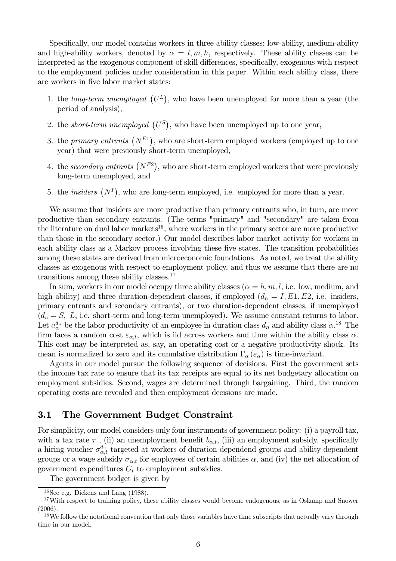Specifically, our model contains workers in three ability classes: low-ability, medium-ability and high-ability workers, denoted by  $\alpha = l, m, h$ , respectively. These ability classes can be interpreted as the exogenous component of skill differences, specifically, exogenous with respect to the employment policies under consideration in this paper. Within each ability class, there are workers in five labor market states:

- 1. the long-term unemployed  $(U^L)$ , who have been unemployed for more than a year (the period of analysis),
- 2. the *short-term unemployed*  $(U^S)$ , who have been unemployed up to one year,
- 3. the *primary entrants*  $(N^{E1})$ , who are short-term employed workers (employed up to one year) that were previously short-term unemployed,
- 4. the secondary entrants  $(N^{E2})$ , who are short-term employed workers that were previously long-term unemployed, and
- 5. the *insiders*  $(N<sup>I</sup>)$ , who are long-term employed, i.e. employed for more than a year.

We assume that insiders are more productive than primary entrants who, in turn, are more productive than secondary entrants. (The terms "primary" and "secondary" are taken from the literature on dual labor markets<sup>16</sup>, where workers in the primary sector are more productive than those in the secondary sector.) Our model describes labor market activity for workers in each ability class as a Markov process involving these five states. The transition probabilities among these states are derived from microeconomic foundations. As noted, we treat the ability classes as exogenous with respect to employment policy, and thus we assume that there are no transitions among these ability classes.17

In sum, workers in our model occupy three ability classes  $(\alpha = h, m, l, i.e.$  low, medium, and high ability) and three duration-dependent classes, if employed  $(d_n = I, E1, E2, i.e.$  insiders, primary entrants and secondary entrants), or two duration-dependent classes, if unemployed  $(d_u = S, L, i.e.$  short-term and long-term unemployed). We assume constant returns to labor. Let  $a_{\alpha}^{d_n}$  be the labor productivity of an employee in duration class  $d_n$  and ability class  $\alpha$ .<sup>18</sup> The firm faces a random cost  $\varepsilon_{\alpha,t}$ , which is iid across workers and time within the ability class  $\alpha$ . This cost may be interpreted as, say, an operating cost or a negative productivity shock. Its mean is normalized to zero and its cumulative distribution  $\Gamma_{\alpha}(\varepsilon_{\alpha})$  is time-invariant.

Agents in our model pursue the following sequence of decisions. First the government sets the income tax rate to ensure that its tax receipts are equal to its net budgetary allocation on employment subsidies. Second, wages are determined through bargaining. Third, the random operating costs are revealed and then employment decisions are made.

### 3.1 The Government Budget Constraint

For simplicity, our model considers only four instruments of government policy: (i) a payroll tax, with a tax rate  $\tau$ , (ii) an unemployment benefit  $b_{\alpha,t}$ , (iii) an employment subsidy, specifically a hiring voucher  $\sigma_{\alpha,t}^{d_u}$  targeted at workers of duration-dependend groups and ability-dependent groups or a wage subsidy  $\sigma_{\alpha,t}$  for employees of certain abilities  $\alpha$ , and (iv) the net allocation of government expenditures  $G_t$  to employment subsidies.

The government budget is given by

 $16$ See e.g. Dickens and Lang (1988).

<sup>&</sup>lt;sup>17</sup>With respect to training policy, these ability classes would become endogenous, as in Oskamp and Snower (2006).

 $18$ We follow the notational convention that only those variables have time subscripts that actually vary through time in our model.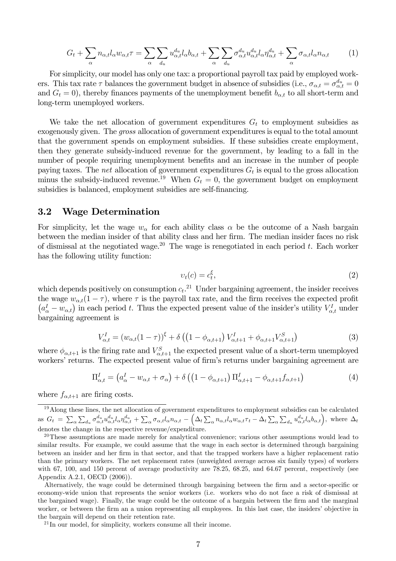$$
G_t + \sum_{\alpha} n_{\alpha,t} l_{\alpha} w_{\alpha,t} \tau = \sum_{\alpha} \sum_{d_u} u_{\alpha,t}^{d_u} l_{\alpha} b_{\alpha,t} + \sum_{\alpha} \sum_{d_u} \sigma_{\alpha,t}^{d_u} u_{\alpha,t}^{d_u} l_{\alpha} \eta_{\alpha,t}^{d_u} + \sum_{\alpha} \sigma_{\alpha,t} l_{\alpha} n_{\alpha,t} \tag{1}
$$

For simplicity, our model has only one tax: a proportional payroll tax paid by employed workers. This tax rate  $\tau$  balances the government budget in absence of subsidies (i.e.,  $\sigma_{\alpha,t} = \sigma_{\alpha,t}^{d_u} = 0$ and  $G_t = 0$ , thereby finances payments of the unemployment benefit  $b_{\alpha,t}$  to all short-term and long-term unemployed workers.

We take the net allocation of government expenditures  $G_t$  to employment subsidies as exogenously given. The gross allocation of government expenditures is equal to the total amount that the government spends on employment subsidies. If these subsidies create employment, then they generate subsidy-induced revenue for the government, by leading to a fall in the number of people requiring unemployment benefits and an increase in the number of people paying taxes. The *net* allocation of government expenditures  $G_t$  is equal to the gross allocation minus the subsidy-induced revenue.<sup>19</sup> When  $G_t = 0$ , the government budget on employment subsidies is balanced, employment subsidies are self-financing.

#### 3.2 Wage Determination

For simplicity, let the wage  $w_{\alpha}$  for each ability class  $\alpha$  be the outcome of a Nash bargain between the median insider of that ability class and her firm. The median insider faces no risk of dismissal at the negotiated wage.<sup>20</sup> The wage is renegotiated in each period t. Each worker has the following utility function:

$$
v_t(c) = c_t^{\xi},\tag{2}
$$

which depends positively on consumption  $c_t$ <sup>21</sup> Under bargaining agreement, the insider receives the wage  $w_{\alpha,t}(1-\tau)$ , where  $\tau$  is the payroll tax rate, and the firm receives the expected profit  $(a_{\alpha}^I - w_{\alpha,t})$  in each period t. Thus the expected present value of the insider's utility  $V_{\alpha,t}^I$  under bargaining agreement is

$$
V_{\alpha,t}^I = (w_{\alpha,t}(1-\tau))^{\xi} + \delta \left( \left(1 - \phi_{\alpha,t+1}\right) V_{\alpha,t+1}^I + \phi_{\alpha,t+1} V_{\alpha,t+1}^S \right) \tag{3}
$$

where  $\phi_{\alpha,t+1}$  is the firing rate and  $V_{\alpha,t+1}^S$  the expected present value of a short-term unemployed workers' returns. The expected present value of firm's returns under bargaining agreement are

$$
\Pi_{\alpha,t}^I = \left(a_{\alpha}^I - w_{\alpha,t} + \sigma_{\alpha}\right) + \delta\left(\left(1 - \phi_{\alpha,t+1}\right)\Pi_{\alpha,t+1}^I - \phi_{\alpha,t+1}f_{\alpha,t+1}\right) \tag{4}
$$

where  $f_{\alpha,t+1}$  are firing costs.

 $19$ Along these lines, the net allocation of government expenditures to employment subsidies can be calculated as  $G_t = \sum_{\alpha} \sum_{d_u} \sigma_{\alpha,t}^{d_u} u_{\alpha,t}^{d_u} l_{\alpha} \eta_{\alpha,t}^{d_u} + \sum_{\alpha} \sigma_{\alpha,t} l_{\alpha} n_{\alpha,t} - \left(\Delta_t \sum_{\alpha} n_{\alpha,t} l_{\alpha} w_{\alpha,t} \tau_t - \Delta_t \sum_{\alpha} \sum_{d_u} u_{\alpha,t}^{d_u} l_{\alpha} b_{\alpha,t}\right)$ , where  $\Delta_t$ denotes the change in the respective revenue/expenditure.

 $20$ These assumptions are made merely for analytical convenience; various other assumptions would lead to similar results. For example, we could assume that the wage in each sector is determined through bargaining between an insider and her firm in that sector, and that the trapped workers have a higher replacement ratio than the primary workers. The net replacement rates (unweighted average across six family types) of workers with 67, 100, and 150 percent of average productivity are 78.25, 68.25, and 64.67 percent, respectively (see Appendix A.2.1, OECD (2006)).

Alternatively, the wage could be determined through bargaining between the firm and a sector-specific or economy-wide union that represents the senior workers (i.e. workers who do not face a risk of dismissal at the bargained wage). Finally, the wage could be the outcome of a bargain between the firm and the marginal worker, or between the firm an a union representing all employees. In this last case, the insiders' objective in the bargain will depend on their retention rate.

 $^{21}$ In our model, for simplicity, workers consume all their income.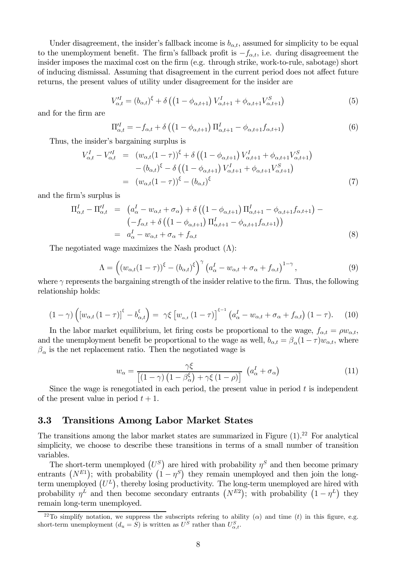Under disagreement, the insider's fallback income is  $b_{\alpha,t}$ , assumed for simplicity to be equal to the unemployment benefit. The firm's fallback profit is  $-f_{\alpha,t}$ , i.e. during disagreement the insider imposes the maximal cost on the firm (e.g. through strike, work-to-rule, sabotage) short of inducing dismissal. Assuming that disagreement in the current period does not affect future returns, the present values of utility under disagreement for the insider are

$$
V_{\alpha,t}^{I} = (b_{\alpha,t})^{\xi} + \delta \left( \left( 1 - \phi_{\alpha,t+1} \right) V_{\alpha,t+1}^{I} + \phi_{\alpha,t+1} V_{\alpha,t+1}^{S} \right)
$$
(5)

and for the firm are

$$
\Pi_{\alpha,t}^{\prime I} = -f_{\alpha,t} + \delta \left( \left( 1 - \phi_{\alpha,t+1} \right) \Pi_{\alpha,t+1}^{I} - \phi_{\alpha,t+1} f_{\alpha,t+1} \right) \tag{6}
$$

Thus, the insider's bargaining surplus is

$$
V_{\alpha,t}^{I} - V_{\alpha,t}^{'I} = (w_{\alpha,t}(1-\tau))^{\xi} + \delta \left( \left(1 - \phi_{\alpha,t+1}\right) V_{\alpha,t+1}^{I} + \phi_{\alpha,t+1} V_{\alpha,t+1}^{S} \right) - (b_{\alpha,t})^{\xi} - \delta \left( \left(1 - \phi_{\alpha,t+1}\right) V_{\alpha,t+1}^{I} + \phi_{\alpha,t+1} V_{\alpha,t+1}^{S} \right) = (w_{\alpha,t}(1-\tau))^{\xi} - (b_{\alpha,t})^{\xi}
$$
(7)

and the firm's surplus is

$$
\Pi_{\alpha,t}^{I} - \Pi_{\alpha,t}^{\prime I} = \begin{pmatrix} a_{\alpha}^{I} - w_{\alpha,t} + \sigma_{\alpha} \end{pmatrix} + \delta \left( \left( 1 - \phi_{\alpha,t+1} \right) \Pi_{\alpha,t+1}^{I} - \phi_{\alpha,t+1} f_{\alpha,t+1} \right) -
$$

$$
\begin{pmatrix} -f_{\alpha,t} + \delta \left( \left( 1 - \phi_{\alpha,t+1} \right) \Pi_{\alpha,t+1}^{I} - \phi_{\alpha,t+1} f_{\alpha,t+1} \right) \end{pmatrix}
$$

$$
= a_{\alpha}^{I} - w_{\alpha,t} + \sigma_{\alpha} + f_{\alpha,t} \tag{8}
$$

The negotiated wage maximizes the Nash product  $(\Lambda)$ :

$$
\Lambda = \left( \left( w_{\alpha,t} (1 - \tau) \right)^{\xi} - \left( b_{\alpha,t} \right)^{\xi} \right)^{\gamma} \left( a_{\alpha}^{I} - w_{\alpha,t} + \sigma_{\alpha} + f_{\alpha,t} \right)^{1 - \gamma}, \tag{9}
$$

where  $\gamma$  represents the bargaining strength of the insider relative to the firm. Thus, the following relationship holds:

$$
(1-\gamma)\left(\left[w_{\alpha,t}\left(1-\tau\right)\right]^\xi - b_{\alpha,t}^\xi\right) = \gamma\xi\left[w_{\alpha,t}\left(1-\tau\right)\right]^{\xi-1}\left(a_\alpha^I - w_{\alpha,t} + \sigma_\alpha + f_{\alpha,t}\right)(1-\tau). \tag{10}
$$

In the labor market equilibrium, let firing costs be proportional to the wage,  $f_{\alpha,t} = \rho w_{\alpha,t}$ , and the unemployment benefit be proportional to the wage as well,  $b_{\alpha,t} = \beta_\alpha (1 - \tau) w_{\alpha,t}$ , where  $\beta_{\alpha}$  is the net replacement ratio. Then the negotiated wage is

$$
w_{\alpha} = \frac{\gamma \xi}{\left[ (1 - \gamma) \left( 1 - \beta_{\alpha}^{\xi} \right) + \gamma \xi \left( 1 - \rho \right) \right]} \left( a_{\alpha}^{I} + \sigma_{\alpha} \right)
$$
(11)

Since the wage is renegotiated in each period, the present value in period  $t$  is independent of the present value in period  $t + 1$ .

### 3.3 Transitions Among Labor Market States

The transitions among the labor market states are summarized in Figure  $(1).^{22}$  For analytical simplicity, we choose to describe these transitions in terms of a small number of transition variables.

The short-term unemployed  $(U^S)$  are hired with probability  $\eta^S$  and then become primary entrants  $(N^{E1})$ ; with probability  $(1 - \eta^S)$  they remain unemployed and then join the longterm unemployed  $(U^L)$ , thereby losing productivity. The long-term unemployed are hired with probability  $\eta^L$  and then become secondary entrants  $(N^{E2})$ ; with probability  $(1 - \eta^L)$  they remain long-term unemployed.

<sup>&</sup>lt;sup>22</sup>To simplify notation, we suppress the subscripts refering to ability ( $\alpha$ ) and time (t) in this figure, e.g. short-term unemployment  $(d_u = S)$  is written as  $U^S$  rather than  $U^S_{\alpha,t}$ .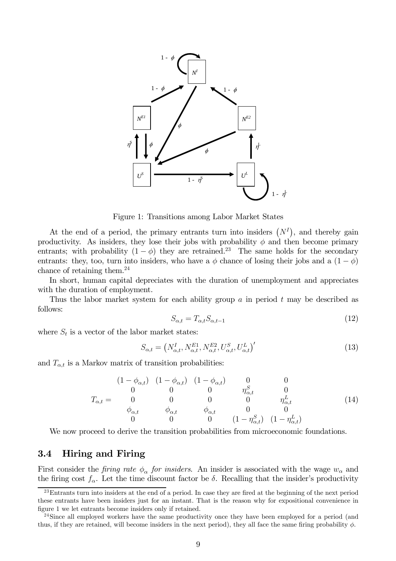

Figure 1: Transitions among Labor Market States

At the end of a period, the primary entrants turn into insiders  $(N<sup>I</sup>)$ , and thereby gain productivity. As insiders, they lose their jobs with probability  $\phi$  and then become primary entrants; with probability  $(1 - \phi)$  they are retrained.<sup>23</sup> The same holds for the secondary entrants: they, too, turn into insiders, who have a  $\phi$  chance of losing their jobs and a  $(1 - \phi)$ chance of retaining them.24

In short, human capital depreciates with the duration of unemployment and appreciates with the duration of employment.

Thus the labor market system for each ability group a in period t may be described as follows:

$$
S_{\alpha,t} = T_{\alpha,t} S_{\alpha,t-1} \tag{12}
$$

where  $S_t$  is a vector of the labor market states:

$$
S_{\alpha,t} = \left(N_{\alpha,t}^I, N_{\alpha,t}^{E1}, N_{\alpha,t}^{E2}, U_{\alpha,t}^S, U_{\alpha,t}^L\right)'
$$
\n(13)

and  $T_{\alpha,t}$  is a Markov matrix of transition probabilities:

$$
T_{\alpha,t} = \begin{pmatrix} 1 - \phi_{\alpha,t} & (1 - \phi_{\alpha,t}) & (1 - \phi_{\alpha,t}) & 0 & 0 \\ 0 & 0 & 0 & \eta_{\alpha,t}^S & 0 \\ 0 & 0 & 0 & 0 & \eta_{\alpha,t}^L & 0 \\ \phi_{\alpha,t} & \phi_{\alpha,t} & \phi_{\alpha,t} & 0 & 0 \\ 0 & 0 & 0 & (1 - \eta_{\alpha,t}^S) & (1 - \eta_{\alpha,t}^L) \end{pmatrix} \tag{14}
$$

We now proceed to derive the transition probabilities from microeconomic foundations.

#### 3.4 Hiring and Firing

First consider the *firing rate*  $\phi_{\alpha}$  *for insiders.* An insider is associated with the wage  $w_{\alpha}$  and the firing cost  $f_{\alpha}$ . Let the time discount factor be  $\delta$ . Recalling that the insider's productivity

<sup>&</sup>lt;sup>23</sup>Entrants turn into insiders at the end of a period. In case they are fired at the beginning of the next period these entrants have been insiders just for an instant. That is the reason why for expositional convenience in figure 1 we let entrants become insiders only if retained.

<sup>&</sup>lt;sup>24</sup>Since all employed workers have the same productivity once they have been employed for a period (and thus, if they are retained, will become insiders in the next period), they all face the same firing probability  $\phi$ .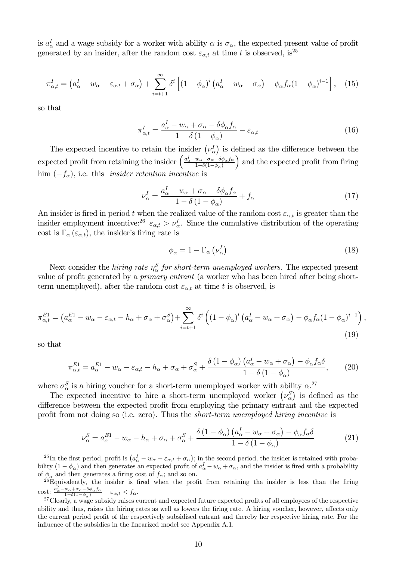is  $a^I_\alpha$  and a wage subsidy for a worker with ability  $\alpha$  is  $\sigma_\alpha$ , the expected present value of profit generated by an insider, after the random cost  $\varepsilon_{\alpha,t}$  at time t is observed, is<sup>25</sup>

$$
\pi_{\alpha,t}^I = \left(a_{\alpha}^I - w_{\alpha} - \varepsilon_{\alpha,t} + \sigma_{\alpha}\right) + \sum_{i=t+1}^{\infty} \delta^i \left[ \left(1 - \phi_{\alpha}\right)^i \left(a_{\alpha}^I - w_{\alpha} + \sigma_{\alpha}\right) - \phi_{\alpha} f_{\alpha} \left(1 - \phi_{\alpha}\right)^{i-1} \right], \quad (15)
$$

so that

$$
\pi_{\alpha,t}^I = \frac{a_{\alpha}^I - w_{\alpha} + \sigma_{\alpha} - \delta \phi_{\alpha} f_{\alpha}}{1 - \delta (1 - \phi_{\alpha})} - \varepsilon_{\alpha,t}
$$
\n(16)

The expected incentive to retain the insider  $(\nu_{\alpha}^{I})$  is defined as the difference between the expected profit from retaining the insider  $\left(\frac{a_{\alpha}^{I} - w_{\alpha} + \sigma_{\alpha} - \delta \phi_{\alpha} f_{\alpha}}{1 - \delta (1 - \phi_{\alpha})}\right)$  $1-\delta(1-\phi_\alpha)$ ) and the expected profit from firing him  $(-f_{\alpha})$ , i.e. this *insider retention incentive* is

$$
\nu_{\alpha}^{I} = \frac{a_{\alpha}^{I} - w_{\alpha} + \sigma_{\alpha} - \delta\phi_{\alpha}f_{\alpha}}{1 - \delta\left(1 - \phi_{\alpha}\right)} + f_{\alpha} \tag{17}
$$

An insider is fired in period t when the realized value of the random cost  $\varepsilon_{\alpha,t}$  is greater than the insider employment incentive:<sup>26</sup>  $\varepsilon_{\alpha,t} > \nu_{\alpha}^I$ . Since the cumulative distribution of the operating cost is  $\Gamma_{\alpha}(\varepsilon_{\alpha,t})$ , the insider's firing rate is

$$
\phi_{\alpha} = 1 - \Gamma_{\alpha} \left( \nu_{\alpha}^{I} \right) \tag{18}
$$

Next consider the *hiring rate*  $\eta_{\alpha}^{S}$  *for short-term unemployed workers*. The expected present value of profit generated by a *primary entrant* (a worker who has been hired after being shortterm unemployed), after the random cost  $\varepsilon_{\alpha,t}$  at time t is observed, is

$$
\pi_{\alpha,t}^{E1} = \left(a_{\alpha}^{E1} - w_{\alpha} - \varepsilon_{\alpha,t} - h_{\alpha} + \sigma_{\alpha} + \sigma_{\alpha}^{S}\right) + \sum_{i=t+1}^{\infty} \delta^{i} \left(\left(1 - \phi_{\alpha}\right)^{i} \left(a_{\alpha}^{I} - w_{\alpha} + \sigma_{\alpha}\right) - \phi_{\alpha} f_{\alpha} (1 - \phi_{\alpha})^{i-1}\right),\tag{19}
$$

so that

$$
\pi_{\alpha,t}^{E1} = a_{\alpha}^{E1} - w_{\alpha} - \varepsilon_{\alpha,t} - h_{\alpha} + \sigma_{\alpha} + \sigma_{\alpha}^{S} + \frac{\delta (1 - \phi_{\alpha}) (a_{\alpha}^{I} - w_{\alpha} + \sigma_{\alpha}) - \phi_{\alpha} f_{\alpha} \delta}{1 - \delta (1 - \phi_{\alpha})},
$$
(20)

where  $\sigma_{\alpha}^{S}$  is a hiring voucher for a short-term unemployed worker with ability  $\alpha^{27}$ 

The expected incentive to hire a short-term unemployed worker  $(\nu_{\alpha}^S)$  is defined as the difference between the expected profit from employing the primary entrant and the expected profit from not doing so (i.e. zero). Thus the short-term unemployed hiring incentive is

$$
\nu_{\alpha}^{S} = a_{\alpha}^{E1} - w_{\alpha} - h_{\alpha} + \sigma_{\alpha} + \sigma_{\alpha}^{S} + \frac{\delta (1 - \phi_{\alpha}) (a_{\alpha}^{I} - w_{\alpha} + \sigma_{\alpha}) - \phi_{\alpha} f_{\alpha} \delta}{1 - \delta (1 - \phi_{\alpha})}
$$
(21)

<sup>&</sup>lt;sup>25</sup>In the first period, profit is  $(a^I_\alpha - w_\alpha - \varepsilon_{\alpha,t} + \sigma_\alpha)$ ; in the second period, the insider is retained with probability  $(1 - \phi_{\alpha})$  and then generates an expected profit of  $a_{\alpha}^I - w_{\alpha} + \sigma_{\alpha}$ , and the insider is fired with a probability of  $\phi_{\alpha}$  and then generates a firing cost of  $f_{\alpha}$ ; and so on.

 $26E$ quivalently, the insider is fired when the profit from retaining the insider is less than the firing cost:  $\frac{a_{\alpha}^{I} - w_{\alpha} + \sigma_{\alpha} - \delta \phi_{\alpha} f_{\alpha}}{1 - \delta (1 - \phi_{\alpha})} - \varepsilon_{\alpha,t} < f_{\alpha}.$ 

<sup>&</sup>lt;sup>27</sup>Clearly, a wage subsidy raises current and expected future expected profits of all employees of the respective ability and thus, raises the hiring rates as well as lowers the firing rate. A hiring voucher, however, affects only the current period profit of the respectively subsidised entrant and thereby her respective hiring rate. For the influence of the subsidies in the linearized model see Appendix A.1.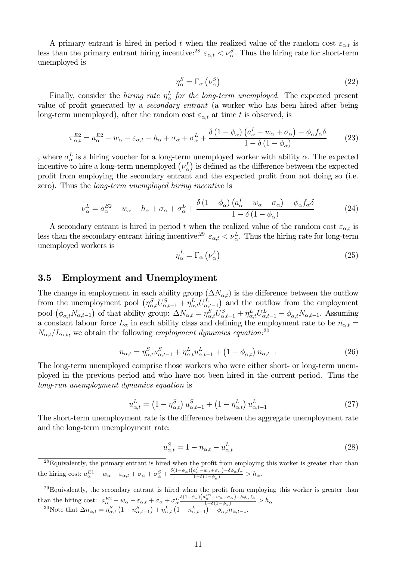A primary entrant is hired in period t when the realized value of the random cost  $\varepsilon_{\alpha,t}$  is less than the primary entrant hiring incentive:<sup>28</sup>  $\varepsilon_{\alpha,t} < \nu_{\alpha}^S$ . Thus the hiring rate for short-term unemployed is

$$
\eta_{\alpha}^{S} = \Gamma_{\alpha} \left( \nu_{\alpha}^{S} \right) \tag{22}
$$

Finally, consider the *hiring rate*  $\eta_{\alpha}^{L}$  *for the long-term unemployed*. The expected present value of profit generated by a secondary entrant (a worker who has been hired after being long-term unemployed), after the random cost  $\varepsilon_{\alpha,t}$  at time t is observed, is

$$
\pi_{\alpha,t}^{E2} = a_{\alpha}^{E2} - w_{\alpha} - \varepsilon_{\alpha,t} - h_{\alpha} + \sigma_{\alpha} + \sigma_{\alpha}^{L} + \frac{\delta (1 - \phi_{\alpha}) (a_{\alpha}^{I} - w_{\alpha} + \sigma_{\alpha}) - \phi_{\alpha} f_{\alpha} \delta}{1 - \delta (1 - \phi_{\alpha})}
$$
(23)

, where  $\sigma_{\alpha}^{L}$  is a hiring voucher for a long-term unemployed worker with ability  $\alpha$ . The expected incentive to hire a long-term unemployed  $(\nu_{\alpha}^L)$  is defined as the difference between the expected profit from employing the secondary entrant and the expected profit from not doing so (i.e. zero). Thus the long-term unemployed hiring incentive is

$$
\nu_{\alpha}^{L} = a_{\alpha}^{E2} - w_{\alpha} - h_{\alpha} + \sigma_{\alpha} + \sigma_{\alpha}^{L} + \frac{\delta (1 - \phi_{\alpha}) (a_{\alpha}^{I} - w_{\alpha} + \sigma_{\alpha}) - \phi_{\alpha} f_{\alpha} \delta}{1 - \delta (1 - \phi_{\alpha})}
$$
(24)

A secondary entrant is hired in period t when the realized value of the random cost  $\varepsilon_{\alpha,t}$  is less than the secondary entrant hiring incentive:<sup>29</sup>  $\varepsilon_{\alpha,t} < \nu_{\alpha}^L$ . Thus the hiring rate for long-term unemployed workers is

$$
\eta_{\alpha}^{L} = \Gamma_{\alpha} \left( \nu_{\alpha}^{L} \right) \tag{25}
$$

#### 3.5 Employment and Unemployment

The change in employment in each ability group  $(\Delta N_{\alpha,t})$  is the difference between the outflow from the unemployment pool  $(\eta_{\alpha,t}^S U_{\alpha,t-1}^S + \eta_{\alpha,t}^L U_{\alpha,t-1}^L)$  and the outflow from the employment pool  $(\phi_{\alpha,t}N_{\alpha,t-1})$  of that ability group:  $\Delta N_{\alpha,t} = \eta_{\alpha,t}^S U_{\alpha,t-1}^S + \eta_{\alpha,t}^L U_{\alpha,t-1}^L - \phi_{\alpha,t} N_{\alpha,t-1}$ . Assuming a constant labour force  $L_{\alpha}$  in each ability class and defining the employment rate to be  $n_{\alpha,t}$  $N_{\alpha,t}/L_{\alpha,t}$ , we obtain the following employment dynamics equation:<sup>30</sup>

$$
n_{\alpha,t} = \eta_{\alpha,t}^S u_{\alpha,t-1}^S + \eta_{\alpha,t}^L u_{\alpha,t-1}^L + \left(1 - \phi_{\alpha,t}\right) n_{\alpha,t-1}
$$
\n
$$
(26)
$$

The long-term unemployed comprise those workers who were either short- or long-term unemployed in the previous period and who have not been hired in the current period. Thus the long-run unemployment dynamics equation is

$$
u_{\alpha,t}^L = (1 - \eta_{\alpha,t}^S) u_{\alpha,t-1}^S + (1 - \eta_{\alpha,t}^L) u_{\alpha,t-1}^L
$$
 (27)

The short-term unemployment rate is the difference between the aggregate unemployment rate and the long-term unemployment rate:

$$
u_{\alpha,t}^S = 1 - n_{\alpha,t} - u_{\alpha,t}^L \tag{28}
$$

 $^{28}$ Equivalently, the primary entrant is hired when the profit from employing this worker is greater than than the hiring cost:  $a_{\alpha}^{E_1} - w_{\alpha} - \varepsilon_{\alpha,t} + \sigma_{\alpha} + \sigma_{\alpha}^S + \frac{\delta(1-\phi_{\alpha})(a_{\alpha}^T - w_{\alpha} + \sigma_{\alpha}) - \delta\phi_{\alpha}f_{\alpha}}{1 - \delta(1-\phi_{\alpha})} > h_{\alpha}$ .

 $^{29}$ Equivalently, the secondary entrant is hired when the profit from employing this worker is greater than than the hiring cost:  $a_{\alpha}^{E2} - w_{\alpha} - \varepsilon_{\alpha,t} + \sigma_{\alpha} + \sigma_L \frac{\delta (1-\phi_{\alpha})(a_{\alpha}^{E2} - w_{\alpha} + \sigma_{\alpha}) - \delta \phi_{\alpha} f_{\alpha}}{1 - \delta (1 - \phi_{\alpha})} > h_{\alpha}$ <sup>30</sup>Note that  $\Delta n_{\alpha,t} = \eta_{\alpha,t}^S (1 - n_{\alpha,t-1}^S) + \eta_{\alpha,t}^L (1 - n_{\alpha,t-1}^L) - \phi_{\alpha,t}^{\alpha,t} n_{\alpha,t-1}.$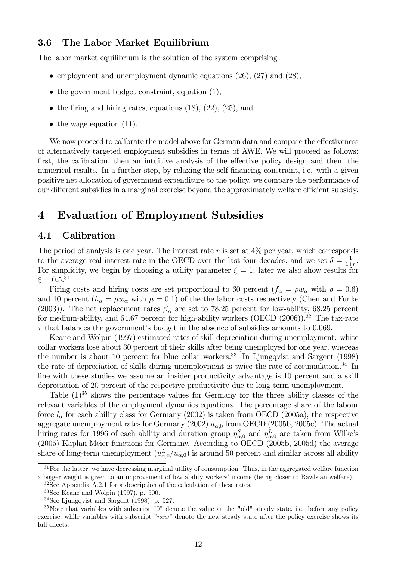### 3.6 The Labor Market Equilibrium

The labor market equilibrium is the solution of the system comprising

- employment and unemployment dynamic equations (26), (27) and (28),
- $\bullet$  the government budget constraint, equation (1),
- the firing and hiring rates, equations  $(18)$ ,  $(22)$ ,  $(25)$ , and
- $\bullet$  the wage equation (11).

We now proceed to calibrate the model above for German data and compare the effectiveness of alternatively targeted employment subsidies in terms of AWE. We will proceed as follows: first, the calibration, then an intuitive analysis of the effective policy design and then, the numerical results. In a further step, by relaxing the self-financing constraint, i.e. with a given positive net allocation of government expenditure to the policy, we compare the performance of our different subsidies in a marginal exercise beyond the approximately welfare efficient subsidy.

## 4 Evaluation of Employment Subsidies

### 4.1 Calibration

The period of analysis is one year. The interest rate  $r$  is set at  $4\%$  per year, which corresponds to the average real interest rate in the OECD over the last four decades, and we set  $\delta = \frac{1}{1+r}$ . For simplicity, we begin by choosing a utility parameter  $\xi = 1$ ; later we also show results for  $\xi = 0.5^{31}$ 

Firing costs and hiring costs are set proportional to 60 percent  $(f_{\alpha} = \rho w_{\alpha}$  with  $\rho = 0.6$ ) and 10 percent  $(h_{\alpha} = \mu w_{\alpha}$  with  $\mu = 0.1$ ) of the the labor costs respectively (Chen and Funke (2003)). The net replacement rates  $\beta_{\alpha}$  are set to 78.25 percent for low-ability, 68.25 percent for medium-ability, and  $64.67$  percent for high-ability workers (OECD  $(2006)$ ).<sup>32</sup> The tax-rate  $\tau$  that balances the government's budget in the absence of subsidies amounts to 0.069.

Keane and Wolpin (1997) estimated rates of skill depreciation during unemployment: white collar workers lose about 30 percent of their skills after being unemployed for one year, whereas the number is about 10 percent for blue collar workers.<sup>33</sup> In Ljungqvist and Sargent  $(1998)$ the rate of depreciation of skills during unemployment is twice the rate of accumulation.<sup>34</sup> In line with these studies we assume an insider productivity advantage is 10 percent and a skill depreciation of 20 percent of the respective productivity due to long-term unemployment.

Table  $(1)^{35}$  shows the percentage values for Germany for the three ability classes of the relevant variables of the employment dynamics equations. The percentage share of the labour force  $l_{\alpha}$  for each ability class for Germany (2002) is taken from OECD (2005a), the respective aggregate unemployment rates for Germany (2002)  $u_{\alpha,0}$  from OECD (2005b, 2005c). The actual hiring rates for 1996 of each ability and duration group  $\eta_{\alpha,0}^S$  and  $\eta_{\alpha,0}^L$  are taken from Wilke's (2005) Kaplan-Meier functions for Germany. According to OECD (2005b, 2005d) the average share of long-term unemployment  $(u_{\alpha,0}^L/u_{\alpha,0})$  is around 50 percent and similar across all ability

<sup>&</sup>lt;sup>31</sup>For the latter, we have decreasing marginal utility of consumption. Thus, in the aggregated welfare function a bigger weight is given to an improvement of low ability workers' income (being closer to Rawlsian welfare).

<sup>32</sup>See Appendix A.2.1 for a description of the calculation of these rates.

 $33$ See Keane and Wolpin (1997), p. 500.

 $34$ See Ljungqvist and Sargent (1998), p. 527.

 $35$ Note that variables with subscript "0" denote the value at the "old" steady state, i.e. before any policy exercise, while variables with subscript "new" denote the new steady state after the policy exercise shows its full effects.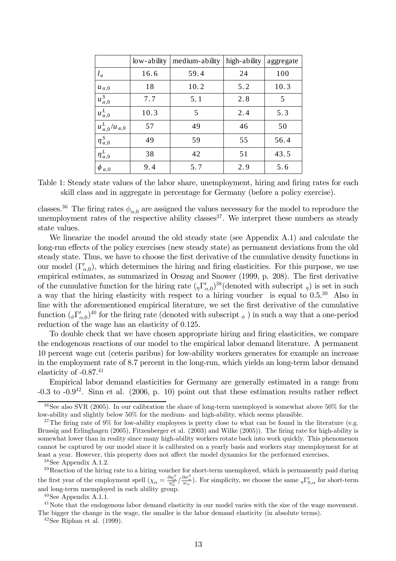|                               | $\frac{1}{2}$ low-ability | medium-ability | high-ability | aggregate |
|-------------------------------|---------------------------|----------------|--------------|-----------|
| $l_{\alpha}$                  | 16.6                      | 59.4           | 24           | 100       |
| $u_{\alpha,0}$                | 18                        | 10.2           | 5.2          | 10.3      |
| $u_{\alpha,0}^S$              | 7.7                       | 5.1            | 2.8          | 5         |
| $u_{\alpha,0}^L$              | 10.3                      | 5              | 2.4          | 5.3       |
| $u_{\alpha,0}^L/u_{\alpha,0}$ | 57                        | 49             | 46           | 50        |
| $\eta_{\alpha,0}^S$           | 49                        | 59             | 55           | 56.4      |
| $\eta_{\alpha,0}^L$           | 38                        | 42             | 51           | 43.5      |
| $\phi_{\alpha,0}$             | 9.4                       | 5.7            | 2.9          | 5.6       |

|                                                                                    | Table 1: Steady state values of the labor share, unemployment, hiring and firing rates for each |
|------------------------------------------------------------------------------------|-------------------------------------------------------------------------------------------------|
| skill class and in aggregate in percentage for Germany (before a policy exercise). |                                                                                                 |

classes.<sup>36</sup> The firing rates  $\phi_{\alpha,0}$  are assigned the values necessary for the model to reproduce the unemployment rates of the respective ability classes  $37$ . We interpret these numbers as steady state values.

We linearize the model around the old steady state (see Appendix A.1) and calculate the long-run effects of the policy exercises (new steady state) as permanent deviations from the old steady state. Thus, we have to choose the first derivative of the cumulative density functions in our model  $(\Gamma'_{\alpha,0})$ , which determines the hiring and firing elasticities. For this purpose, we use empirical estimates, as summarized in Orszag and Snower (1999, p. 208). The first derivative of the cumulative function for the hiring rate  $({}_\eta\Gamma'_{\alpha,0})^{38}$  (denoted with subscript  $_\eta$ ) is set in such a way that the hiring elasticity with respect to a hiring voucher is equal to 0.5.39 Also in line with the aforementioned empirical literature, we set the first derivative of the cumulative function  $({}_\phi\Gamma'_{\alpha,0})^{40}$  for the firing rate (denoted with subscript  $_\phi$ ) in such a way that a one-period reduction of the wage has an elasticity of 0.125.

To double check that we have chosen appropriate hiring and firing elasticities, we compare the endogenous reactions of our model to the empirical labor demand literature. A permanent 10 percent wage cut (ceteris paribus) for low-ability workers generates for example an increase in the employment rate of 8.7 percent in the long-run, which yields an long-term labor demand elasticity of  $-0.87<sup>41</sup>$ 

Empirical labor demand elasticities for Germany are generally estimated in a range from  $-0.3$  to  $-0.9^{42}$ . Sinn et al. (2006, p. 10) point out that these estimation results rather reflect

38See Appendix A.1.2.

<sup>39</sup>Reaction of the hiring rate to a hiring voucher for short-term unemployed, which is permanently paid during the first year of the employment spell  $(\chi_{\alpha} = \frac{\partial \eta_{\alpha}^{S}}{\eta_{\alpha}^{S}} / \frac{\partial \sigma_{\alpha}^{S}}{\omega_{\alpha}})$ . For simplicity, we choose the same  $_{\eta} \Gamma'_{0,\alpha}$  for short-term and long-term unemployed in each ability group.

 $40$ See Appendix A.1.1.

<sup>41</sup>Note that the endogenous labor demand elasticity in our model varies with the size of the wage movement. The bigger the change in the wage, the smaller is the labor demand elasticity (in absolute terms).

 $42$ See Riphan et al. (1999).

<sup>36</sup>See also SVR (2005). In our calibration the share of long-term unemployed is somewhat above 50% for the low-ability and slightly below 50% for the medium- and high-ability, which seems plausible.

<sup>&</sup>lt;sup>37</sup>The firing rate of 9% for low-ability employees is pretty close to what can be found in the literature (e.g. Brussig and Erlinghagen (2005), Fitzenberger et al. (2003) and Wilke (2005)). The firing rate for high-ability is somewhat lower than in reality since many high-ability workers rotate back into work quickly. This phenomenon cannot be captured by our model since it is calibrated on a yearly basis and workers stay unemployment for at least a year. However, this property does not affect the model dynamics for the performed exercises.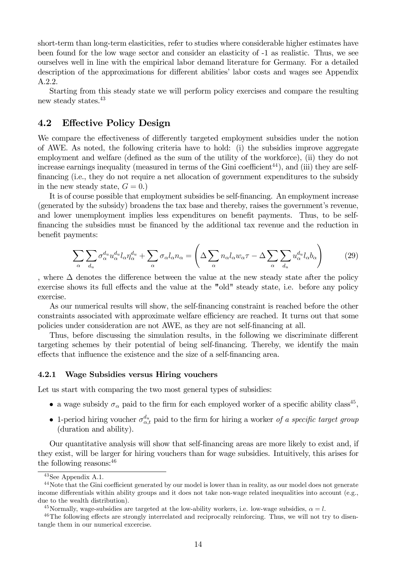short-term than long-term elasticities, refer to studies where considerable higher estimates have been found for the low wage sector and consider an elasticity of -1 as realistic. Thus, we see ourselves well in line with the empirical labor demand literature for Germany. For a detailed description of the approximations for different abilities' labor costs and wages see Appendix A.2.2.

Starting from this steady state we will perform policy exercises and compare the resulting new steady states.43

### 4.2 Effective Policy Design

We compare the effectiveness of differently targeted employment subsidies under the notion of AWE. As noted, the following criteria have to hold: (i) the subsidies improve aggregate employment and welfare (defined as the sum of the utility of the workforce), (ii) they do not increase earnings inequality (measured in terms of the Gini coefficient<sup>44</sup>), and (iii) they are selffinancing (i.e., they do not require a net allocation of government expenditures to the subsidy in the new steady state,  $G = 0.$ 

It is of course possible that employment subsidies be self-financing. An employment increase (generated by the subsidy) broadens the tax base and thereby, raises the government's revenue, and lower unemployment implies less expenditures on benefit payments. Thus, to be selffinancing the subsidies must be financed by the additional tax revenue and the reduction in benefit payments:

$$
\sum_{\alpha} \sum_{d_u} \sigma_{\alpha}^{d_u} u_{\alpha}^{d_u} l_{\alpha} \eta_{\alpha}^{d_u} + \sum_{\alpha} \sigma_{\alpha} l_{\alpha} n_{\alpha} = \left( \Delta \sum_{\alpha} n_{\alpha} l_{\alpha} w_{\alpha} \tau - \Delta \sum_{\alpha} \sum_{d_u} u_{\alpha}^{d_u} l_{\alpha} b_{\alpha} \right) \tag{29}
$$

, where  $\Delta$  denotes the difference between the value at the new steady state after the policy exercise shows its full effects and the value at the "old" steady state, i.e. before any policy exercise.

As our numerical results will show, the self-financing constraint is reached before the other constraints associated with approximate welfare efficiency are reached. It turns out that some policies under consideration are not AWE, as they are not self-financing at all.

Thus, before discussing the simulation results, in the following we discriminate different targeting schemes by their potential of being self-financing. Thereby, we identify the main effects that influence the existence and the size of a self-financing area.

#### 4.2.1 Wage Subsidies versus Hiring vouchers

Let us start with comparing the two most general types of subsidies:

- a wage subsidy  $\sigma_{\alpha}$  paid to the firm for each employed worker of a specific ability class<sup>45</sup>,
- 1-period hiring voucher  $\sigma_{\alpha,t}^{d_u}$  paid to the firm for hiring a worker of a specific target group (duration and ability).

Our quantitative analysis will show that self-financing areas are more likely to exist and, if they exist, will be larger for hiring vouchers than for wage subsidies. Intuitively, this arises for the following reasons:46

 $43$ See Appendix A.1.

<sup>&</sup>lt;sup>44</sup>Note that the Gini coefficient generated by our model is lower than in reality, as our model does not generate income differentials within ability groups and it does not take non-wage related inequalities into account (e.g., due to the wealth distribution).

<sup>&</sup>lt;sup>45</sup>Normally, wage-subsidies are targeted at the low-ability workers, i.e. low-wage subsidies,  $\alpha = l$ .

<sup>&</sup>lt;sup>46</sup>The following effects are strongly interrelated and reciprocally reinforcing. Thus, we will not try to disentangle them in our numerical excercise.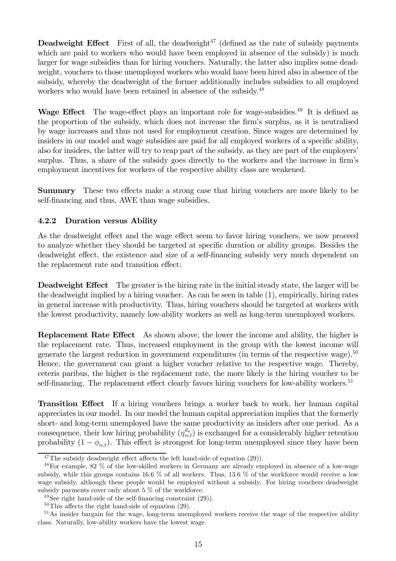**Deadweight Effect** First of all, the deadweight<sup>47</sup> (defined as the rate of subsidy payments which are paid to workers who would have been employed in absence of the subsidy) is much larger for wage subsidies than for hiring vouchers. Naturally, the latter also implies some deadweight, vouchers to those unemployed workers who would have been hired also in absence of the subsidy, whereby the deadweight of the former additionally includes subsidies to all employed workers who would have been retained in absence of the subsidy.<sup>48</sup>

Wage Effect The wage-effect plays an important role for wage-subsidies.<sup>49</sup> It is defined as the proportion of the subsidy, which does not increase the firm's surplus, as it is neutralised by wage increases and thus not used for employment creation. Since wages are determined by insiders in our model and wage subsidies are paid for all employed workers of a specific ability, also for insiders, the latter will try to reap part of the subsidy, as they are part of the employers' surplus. Thus, a share of the subsidy goes directly to the workers and the increase in firm's employment incentives for workers of the respective ability class are weakened.

Summary These two effects make a strong case that hiring vouchers are more likely to be self-financing and thus, AWE than wage subsidies.

## 4.2.2 Duration versus Ability

As the deadweight effect and the wage effect seem to favor hiring vouchers, we now proceed to analyze whether they should be targeted at specific duration or ability groups. Besides the deadweight effect, the existence and size of a self-financing subsidy very much dependent on the replacement rate and transition effect:

Deadweight Effect The greater is the hiring rate in the initial steady state, the larger will be the deadweight implied by a hiring voucher. As can be seen in table (1), empirically, hiring rates in general increase with productivity. Thus, hiring vouchers should be targeted at workers with the lowest productivity, namely low-ability workers as well as long-term unemployed workers.

Replacement Rate Effect As shown above, the lower the income and ability, the higher is the replacement rate. Thus, increased employment in the group with the lowest income will generate the largest reduction in government expenditures (in terms of the respective wage).<sup>50</sup> Hence, the government can grant a higher voucher relative to the respective wage. Thereby, ceteris paribus, the higher is the replacement rate, the more likely is the hiring voucher to be self-financing. The replacement effect clearly favors hiring vouchers for low-ability workers.<sup>51</sup>

Transition Effect If a hiring vouchers brings a worker back to work, her human capital appreciates in our model. In our model the human capital appreciation implies that the formerly short- and long-term unemployed have the same productivity as insiders after one period. As a consequence, their low hiring probability  $(\eta_{\alpha,t}^{d_u})$  is exchanged for a considerably higher retention probability  $(1 - \phi_{\alpha,t})$ . This effect is strongest for long-term unemployed since they have been

 $47$ The subsidy deadweight effect affects the left hand-side of equation (29)).

<sup>48</sup>For example, 82 % of the low-skilled workers in Germany are already employed in absence of a low-wage subsidy, while this groups contains 16.6 % of all workers. Thus, 13.6 % of the workforce would receive a low wage subsidy, although these people would be employed without a subsidy. For hiring vouchers deadweight subsidy payments cover only about 5 % of the workforce.

 $49$ See right hand-side of the self-financing constraint  $(29)$ ).

 $50$ This affects the right hand-side of equation (29).

<sup>&</sup>lt;sup>51</sup>As insider bargain for the wage, long-term unemployed workers receive the wage of the respective ability class. Naturally, low-ability workers have the lowest wage.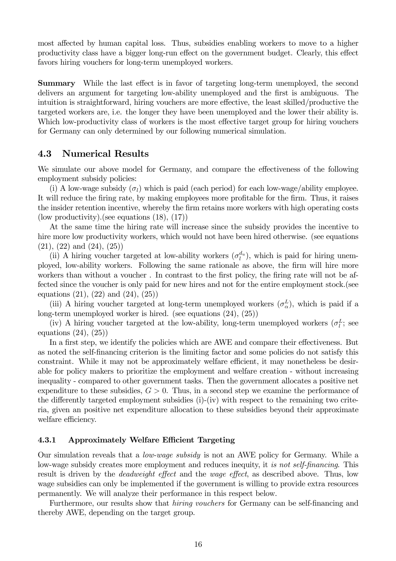most affected by human capital loss. Thus, subsidies enabling workers to move to a higher productivity class have a bigger long-run effect on the government budget. Clearly, this effect favors hiring vouchers for long-term unemployed workers.

Summary While the last effect is in favor of targeting long-term unemployed, the second delivers an argument for targeting low-ability unemployed and the first is ambiguous. The intuition is straightforward, hiring vouchers are more effective, the least skilled/productive the targeted workers are, i.e. the longer they have been unemployed and the lower their ability is. Which low-productivity class of workers is the most effective target group for hiring vouchers for Germany can only determined by our following numerical simulation.

## 4.3 Numerical Results

We simulate our above model for Germany, and compare the effectiveness of the following employment subsidy policies:

(i) A low-wage subsidy  $(\sigma_l)$  which is paid (each period) for each low-wage/ability employee. It will reduce the firing rate, by making employees more profitable for the firm. Thus, it raises the insider retention incentive, whereby the firm retains more workers with high operating costs (low productivity).(see equations (18), (17))

At the same time the hiring rate will increase since the subsidy provides the incentive to hire more low productivity workers, which would not have been hired otherwise. (see equations  $(21), (22)$  and  $(24), (25)$ 

(ii) A hiring voucher targeted at low-ability workers  $(\sigma_l^{d_u})$ , which is paid for hiring unemployed, low-ability workers. Following the same rationale as above, the firm will hire more workers than without a voucher . In contrast to the first policy, the firing rate will not be affected since the voucher is only paid for new hires and not for the entire employment stock.(see equations  $(21)$ ,  $(22)$  and  $(24)$ ,  $(25)$ )

(iii) A hiring voucher targeted at long-term unemployed workers  $(\sigma_{\alpha}^{L})$ , which is paid if a long-term unemployed worker is hired. (see equations (24), (25))

(iv) A hiring voucher targeted at the low-ability, long-term unemployed workers  $(\sigma_l^L;$  see equations (24), (25))

In a first step, we identify the policies which are AWE and compare their effectiveness. But as noted the self-financing criterion is the limiting factor and some policies do not satisfy this constraint. While it may not be approximately welfare efficient, it may nonetheless be desirable for policy makers to prioritize the employment and welfare creation - without increasing inequality - compared to other government tasks. Then the government allocates a positive net expenditure to these subsidies,  $G > 0$ . Thus, in a second step we examine the performance of the differently targeted employment subsidies (i)-(iv) with respect to the remaining two criteria, given an positive net expenditure allocation to these subsidies beyond their approximate welfare efficiency.

#### 4.3.1 Approximately Welfare Efficient Targeting

Our simulation reveals that a low-wage subsidy is not an AWE policy for Germany. While a low-wage subsidy creates more employment and reduces inequity, it is not self-financing. This result is driven by the deadweight effect and the wage effect, as described above. Thus, low wage subsidies can only be implemented if the government is willing to provide extra resources permanently. We will analyze their performance in this respect below.

Furthermore, our results show that hiring vouchers for Germany can be self-financing and thereby AWE, depending on the target group.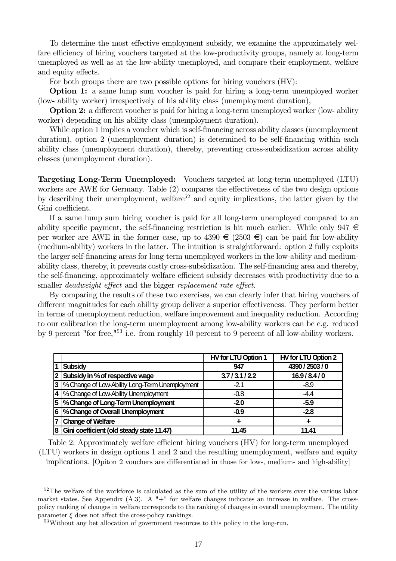To determine the most effective employment subsidy, we examine the approximately welfare efficiency of hiring vouchers targeted at the low-productivity groups, namely at long-term unemployed as well as at the low-ability unemployed, and compare their employment, welfare and equity effects.

For both groups there are two possible options for hiring vouchers (HV):

Option 1: a same lump sum voucher is paid for hiring a long-term unemployed worker (low- ability worker) irrespectively of his ability class (unemployment duration),

Option 2: a different voucher is paid for hiring a long-term unemployed worker (low- ability worker) depending on his ability class (unemployment duration).

While option 1 implies a voucher which is self-financing across ability classes (unemployment duration), option 2 (unemployment duration) is determined to be self-financing within each ability class (unemployment duration), thereby, preventing cross-subsidization across ability classes (unemployment duration).

Targeting Long-Term Unemployed: Vouchers targeted at long-term unemployed (LTU) workers are AWE for Germany. Table (2) compares the effectiveness of the two design options by describing their unemployment, welfare<sup>52</sup> and equity implications, the latter given by the Gini coefficient.

If a same lump sum hiring voucher is paid for all long-term unemployed compared to an ability specific payment, the self-financing restriction is hit much earlier. While only  $947 \in$ per worker are AWE in the former case, up to  $4390 \in (2503 \in)$  can be paid for low-ability (medium-ability) workers in the latter. The intuition is straightforward: option 2 fully exploits the larger self-financing areas for long-term unemployed workers in the low-ability and mediumability class, thereby, it prevents costly cross-subsidization. The self-financing area and thereby, the self-financing, approximately welfare efficient subsidy decreases with productivity due to a smaller deadweight effect and the bigger replacement rate effect.

By comparing the results of these two exercises, we can clearly infer that hiring vouchers of different magnitudes for each ability group deliver a superior effectiveness. They perform better in terms of unemployment reduction, welfare improvement and inequality reduction. According to our calibration the long-term unemployment among low-ability workers can be e.g. reduced by 9 percent "for free,"53 i.e. from roughly 10 percent to 9 percent of all low-ability workers.

|                                                   | HV for LTU Option 1 | HV for LTU Option 2 |
|---------------------------------------------------|---------------------|---------------------|
| <b>Subsidy</b>                                    | 947                 | 4390 / 2503 / 0     |
| 2 Subsidy in % of respective wage                 | 3.7/3.1/2.2         | 16.9/8.4/0          |
| 3  % Change of Low-Ability Long-Term Unemployment | $-2.1$              | $-8.9$              |
| 4  % Change of Low-Ability Unemployment           | $-0.8$              | $-4.4$              |
| 5  % Change of Long-Term Unemployment             | $-2.0$              | $-5.9$              |
| 6  % Change of Overall Unemployment               | $-0.9$              | $-2.8$              |
| 7 Change of Welfare                               | ÷                   |                     |
| 8 Gini coefficient (old steady state 11.47)       | 11.45               | 11.41               |

Table 2: Approximately welfare efficient hiring vouchers (HV) for long-term unemployed (LTU) workers in design options 1 and 2 and the resulting unemployment, welfare and equity implications. [Opiton 2 vouchers are differentiated in those for low-, medium- and high-ability]

<sup>&</sup>lt;sup>52</sup>The welfare of the workforce is calculated as the sum of the utility of the workers over the various labor market states. See Appendix  $(A.3)$ . A "+" for welfare changes indicates an increase in welfare. The crosspolicy ranking of changes in welfare corresponds to the ranking of changes in overall unemployment. The utility parameter  $\xi$  does not affect the cross-policy rankings.

<sup>53</sup>Without any bet allocation of government resources to this policy in the long-run.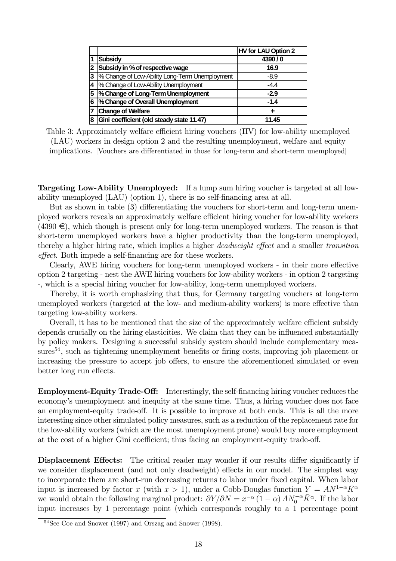|              |                                                | HV for LAU Option 2 |
|--------------|------------------------------------------------|---------------------|
|              | <b>Subsidy</b>                                 | 4390/0              |
| $\mathbf{2}$ | Subsidy in % of respective wage                | 16.9                |
| 3            | % Change of Low-Ability Long-Term Unemployment | $-8.9$              |
|              | 4  % Change of Low-Ability Unemployment        | $-4.4$              |
| 5            | % Change of Long-Term Unemployment             | $-2.9$              |
| 6            | % Change of Overall Unemployment               | $-1.4$              |
|              | <b>Change of Welfare</b>                       |                     |
| 8            | Gini coefficient (old steady state 11.47)      | 11.45               |

Table 3: Approximately welfare efficient hiring vouchers (HV) for low-ability unemployed (LAU) workers in design option 2 and the resulting unemployment, welfare and equity implications. [Vouchers are differentiated in those for long-term and short-term unemployed]

Targeting Low-Ability Unemployed: If a lump sum hiring voucher is targeted at all lowability unemployed (LAU) (option 1), there is no self-financing area at all.

But as shown in table (3) differentiating the vouchers for short-term and long-term unemployed workers reveals an approximately welfare efficient hiring voucher for low-ability workers  $(4390 \in)$ , which though is present only for long-term unemployed workers. The reason is that short-term unemployed workers have a higher productivity than the long-term unemployed, thereby a higher hiring rate, which implies a higher deadweight effect and a smaller transition effect. Both impede a self-financing are for these workers.

Clearly, AWE hiring vouchers for long-term unemployed workers - in their more effective option 2 targeting - nest the AWE hiring vouchers for low-ability workers - in option 2 targeting -, which is a special hiring voucher for low-ability, long-term unemployed workers.

Thereby, it is worth emphasizing that thus, for Germany targeting vouchers at long-term unemployed workers (targeted at the low- and medium-ability workers) is more effective than targeting low-ability workers.

Overall, it has to be mentioned that the size of the approximately welfare efficient subsidy depends crucially on the hiring elasticities. We claim that they can be influenced substantially by policy makers. Designing a successful subsidy system should include complementary measures<sup>54</sup>, such as tightening unemployment benefits or firing costs, improving job placement or increasing the pressure to accept job offers, to ensure the aforementioned simulated or even better long run effects.

Employment-Equity Trade-Off: Interestingly, the self-financing hiring voucher reduces the economy's unemployment and inequity at the same time. Thus, a hiring voucher does not face an employment-equity trade-off. It is possible to improve at both ends. This is all the more interesting since other simulated policy measures, such as a reduction of the replacement rate for the low-ability workers (which are the most unemployment prone) would buy more employment at the cost of a higher Gini coefficient; thus facing an employment-equity trade-off.

Displacement Effects: The critical reader may wonder if our results differ significantly if we consider displacement (and not only deadweight) effects in our model. The simplest way to incorporate them are short-run decreasing returns to labor under fixed capital. When labor input is increased by factor x (with  $x > 1$ ), under a Cobb-Douglas function  $Y = AN^{1-\alpha}K^{\alpha}$ we would obtain the following marginal product:  $\partial Y/\partial N = x^{-\alpha} (1-\alpha) A N_0^{-\alpha} \bar{K}^{\alpha}$ . If the labor input increases by 1 percentage point (which corresponds roughly to a 1 percentage point

<sup>54</sup>See Coe and Snower (1997) and Orszag and Snower (1998).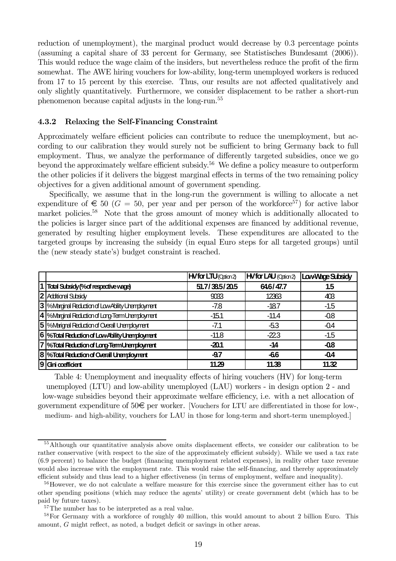reduction of unemployment), the marginal product would decrease by 0.3 percentage points (assuming a capital share of 33 percent for Germany, see Statistisches Bundesamt (2006)). This would reduce the wage claim of the insiders, but nevertheless reduce the profit of the firm somewhat. The AWE hiring vouchers for low-ability, long-term unemployed workers is reduced from 17 to 15 percent by this exercise. Thus, our results are not affected qualitatively and only slightly quantitatively. Furthermore, we consider displacement to be rather a short-run phenomenon because capital adjusts in the long-run.55

#### 4.3.2 Relaxing the Self-Financing Constraint

Approximately welfare efficient policies can contribute to reduce the unemployment, but according to our calibration they would surely not be sufficient to bring Germany back to full employment. Thus, we analyze the performance of differently targeted subsidies, once we go beyond the approximately welfare efficient subsidy.<sup>56</sup> We define a policy measure to outperform the other policies if it delivers the biggest marginal effects in terms of the two remaining policy objectives for a given additional amount of government spending.

Specifically, we assume that in the long-run the government is willing to allocate a net expenditure of  $\epsilon$  50 ( $G = 50$ , per year and per person of the workforce<sup>57</sup>) for active labor market policies.<sup>58</sup> Note that the gross amount of money which is additionally allocated to the policies is larger since part of the additional expenses are financed by additional revenue, generated by resulting higher employment levels. These expenditures are allocated to the targeted groups by increasing the subsidy (in equal Euro steps for all targeted groups) until the (new steady state's) budget constraint is reached.

|                                                         | <b>HVfor LTU</b> (Odian2) | <b>HVfor LAU</b> (Odion2) | Low-Wage Subsidy |
|---------------------------------------------------------|---------------------------|---------------------------|------------------|
| 1 Total Subsidy (% of respective wage)                  | 51.7/38.5/20.5            | 646/47.7                  | 1.5              |
| 2 Additional Subsidy                                    | 9033                      | 12363                     | 403              |
| 3 <b>Solution</b> Reduction of Low-Ability Unemployment | -7.8                      | -18.7                     | $-1.5$           |
| 4  %Marginal Reduction of Long-Term Unemployment        | $-15.1$                   | $-11.4$                   | $-0.8$           |
| 5  %Marignal Reduction of Overall Unemployment          | $-7.1$                    | -53                       | $-0.4$           |
| 6  %Total Reduction of Low-Ability Unemployment         | $-11.8$                   | $-223$                    | $-1.5$           |
| 7  %Total Reduction of Long-Term Unemployment           | $-20.1$                   | -14                       | $-0.8$           |
| 8  %Total Reduction of Overall Unemployment             | $-9.7$                    | $-66$                     | $-0.4$           |
| $ 9 $ Gini coefficient                                  | 11.29                     | 11.38                     | 11.32            |

Table 4: Unemployment and inequality effects of hiring vouchers (HV) for long-term unemployed (LTU) and low-ability unemployed (LAU) workers - in design option 2 - and low-wage subsidies beyond their approximate welfare efficiency, i.e. with a net allocation of government expenditure of  $50\epsilon$  per worker. [Vouchers for LTU are differentiated in those for low-, medium- and high-ability, vouchers for LAU in those for long-term and short-term unemployed.]

<sup>55</sup>Although our quantitative analysis above omits displacement effects, we consider our calibration to be rather conservative (with respect to the size of the approximately efficient subsidy). While we used a tax rate (6.9 percent) to balance the budget (financing unemployment related expenses), in reality other taxe revenue would also increase with the employment rate. This would raise the self-financing, and thereby approximately efficient subsidy and thus lead to a higher effectiveness (in terms of employment, welfare and inequality).

<sup>&</sup>lt;sup>56</sup>However, we do not calculate a welfare measure for this exercise since the government either has to cut other spending positions (which may reduce the agents' utility) or create government debt (which has to be paid by future taxes).

<sup>&</sup>lt;sup>57</sup>The number has to be interpreted as a real value.

<sup>&</sup>lt;sup>58</sup>For Germany with a workforce of roughly 40 million, this would amount to about 2 billion Euro. This amount, G might reflect, as noted, a budget deficit or savings in other areas.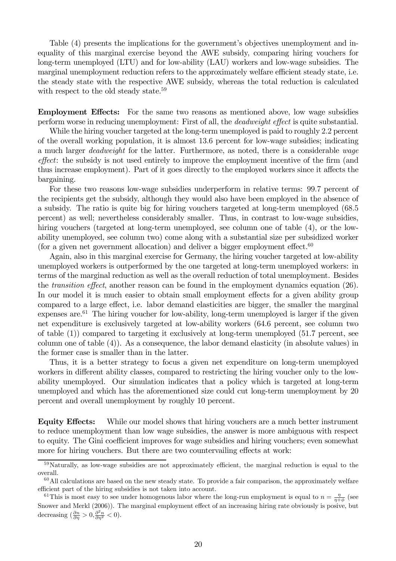Table (4) presents the implications for the government's objectives unemployment and inequality of this marginal exercise beyond the AWE subsidy, comparing hiring vouchers for long-term unemployed (LTU) and for low-ability (LAU) workers and low-wage subsidies. The marginal unemployment reduction refers to the approximately welfare efficient steady state, i.e. the steady state with the respective AWE subsidy, whereas the total reduction is calculated with respect to the old steady state.<sup>59</sup>

Employment Effects: For the same two reasons as mentioned above, low wage subsidies perform worse in reducing unemployment: First of all, the deadweight effect is quite substantial.

While the hiring voucher targeted at the long-term unemployed is paid to roughly 2.2 percent of the overall working population, it is almost 13.6 percent for low-wage subsidies; indicating a much larger deadweight for the latter. Furthermore, as noted, there is a considerable wage effect: the subsidy is not used entirely to improve the employment incentive of the firm (and thus increase employment). Part of it goes directly to the employed workers since it affects the bargaining.

For these two reasons low-wage subsidies underperform in relative terms: 99.7 percent of the recipients get the subsidy, although they would also have been employed in the absence of a subsidy. The ratio is quite big for hiring vouchers targeted at long-term unemployed (68.5 percent) as well; nevertheless considerably smaller. Thus, in contrast to low-wage subsidies, hiring vouchers (targeted at long-term unemployed, see column one of table  $(4)$ , or the lowability unemployed, see column two) come along with a substantial size per subsidized worker (for a given net government allocation) and deliver a bigger employment effect. $60$ 

Again, also in this marginal exercise for Germany, the hiring voucher targeted at low-ability unemployed workers is outperformed by the one targeted at long-term unemployed workers: in terms of the marginal reduction as well as the overall reduction of total unemployment. Besides the transition effect, another reason can be found in the employment dynamics equation (26). In our model it is much easier to obtain small employment effects for a given ability group compared to a large effect, i.e. labor demand elasticities are bigger, the smaller the marginal expenses are.<sup>61</sup> The hiring voucher for low-ability, long-term unemployed is larger if the given net expenditure is exclusively targeted at low-ability workers (64.6 percent, see column two of table (1)) compared to targeting it exclusively at long-term unemployed (51.7 percent, see column one of table (4)). As a consequence, the labor demand elasticity (in absolute values) in the former case is smaller than in the latter.

Thus, it is a better strategy to focus a given net expenditure on long-term unemployed workers in different ability classes, compared to restricting the hiring voucher only to the lowability unemployed. Our simulation indicates that a policy which is targeted at long-term unemployed and which has the aforementioned size could cut long-term unemployment by 20 percent and overall unemployment by roughly 10 percent.

Equity Effects: While our model shows that hiring vouchers are a much better instrument to reduce unemployment than low wage subsidies, the answer is more ambiguous with respect to equity. The Gini coefficient improves for wage subsidies and hiring vouchers; even somewhat more for hiring vouchers. But there are two countervailing effects at work:

<sup>&</sup>lt;sup>59</sup>Naturally, as low-wage subsidies are not approximately efficient, the marginal reduction is equal to the overall.

 $60$ All calculations are based on the new steady state. To provide a fair comparison, the approximately welfare efficient part of the hiring subsidies is not taken into account.

<sup>&</sup>lt;sup>61</sup>This is most easy to see under homogenous labor where the long-run employment is equal to  $n = \frac{\eta}{\eta + \phi}$  (see Snower and Merkl (2006)). The marginal employment effect of an increasing hiring rate obviously is posive, but decreasing  $\left(\frac{\partial n}{\partial \eta} > 0, \frac{\partial^2 n}{\partial \eta^2} < 0\right)$ .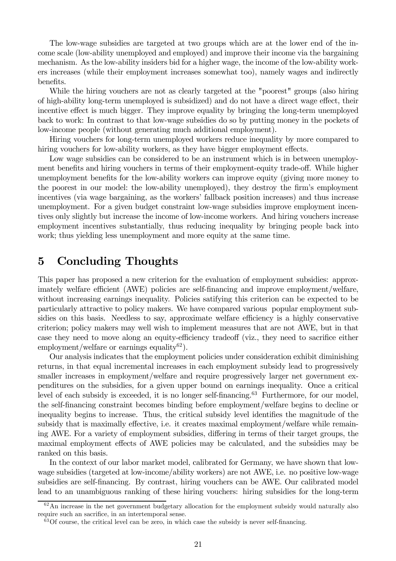The low-wage subsidies are targeted at two groups which are at the lower end of the income scale (low-ability unemployed and employed) and improve their income via the bargaining mechanism. As the low-ability insiders bid for a higher wage, the income of the low-ability workers increases (while their employment increases somewhat too), namely wages and indirectly benefits.

While the hiring vouchers are not as clearly targeted at the "poorest" groups (also hiring of high-ability long-term unemployed is subsidized) and do not have a direct wage effect, their incentive effect is much bigger. They improve equality by bringing the long-term unemployed back to work: In contrast to that low-wage subsidies do so by putting money in the pockets of low-income people (without generating much additional employment).

Hiring vouchers for long-term unemployed workers reduce inequality by more compared to hiring vouchers for low-ability workers, as they have bigger employment effects.

Low wage subsidies can be considered to be an instrument which is in between unemployment benefits and hiring vouchers in terms of their employment-equity trade-off. While higher unemployment benefits for the low-ability workers can improve equity (giving more money to the poorest in our model: the low-ability unemployed), they destroy the firm's employment incentives (via wage bargaining, as the workers' fallback position increases) and thus increase unemployment. For a given budget constraint low-wage subsidies improve employment incentives only slightly but increase the income of low-income workers. And hiring vouchers increase employment incentives substantially, thus reducing inequality by bringing people back into work; thus yielding less unemployment and more equity at the same time.

## 5 Concluding Thoughts

This paper has proposed a new criterion for the evaluation of employment subsidies: approximately welfare efficient (AWE) policies are self-financing and improve employment/welfare, without increasing earnings inequality. Policies satifying this criterion can be expected to be particularly attractive to policy makers. We have compared various popular employment subsidies on this basis. Needless to say, approximate welfare efficiency is a highly conservative criterion; policy makers may well wish to implement measures that are not AWE, but in that case they need to move along an equity-efficiency tradeoff (viz., they need to sacrifice either employment/welfare or earnings equality<sup>62</sup>).

Our analysis indicates that the employment policies under consideration exhibit diminishing returns, in that equal incremental increases in each employment subsidy lead to progressively smaller increases in employment/welfare and require progressively larger net government expenditures on the subsidies, for a given upper bound on earnings inequality. Once a critical level of each subsidy is exceeded, it is no longer self-financing.<sup>63</sup> Furthermore, for our model, the self-financing constraint becomes binding before employment/welfare begins to decline or inequality begins to increase. Thus, the critical subsidy level identifies the magnitude of the subsidy that is maximally effective, i.e. it creates maximal employment/welfare while remaining AWE. For a variety of employment subsidies, differing in terms of their target groups, the maximal employment effects of AWE policies may be calculated, and the subsidies may be ranked on this basis.

In the context of our labor market model, calibrated for Germany, we have shown that lowwage subsidies (targeted at low-income/ability workers) are not AWE, i.e. no positive low-wage subsidies are self-financing. By contrast, hiring vouchers can be AWE. Our calibrated model lead to an unambiguous ranking of these hiring vouchers: hiring subsidies for the long-term

<sup>&</sup>lt;sup>62</sup>An increase in the net government budgetary allocation for the employment subsidy would naturally also require such an sacrifice, in an intertemporal sense.

 $63$ Of course, the critical level can be zero, in which case the subsidy is never self-financing.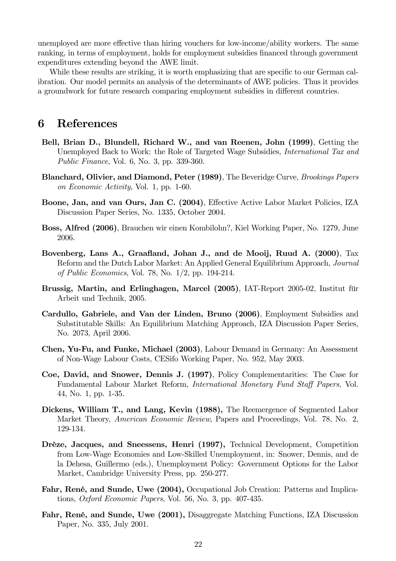unemployed are more effective than hiring vouchers for low-income/ability workers. The same ranking, in terms of employment, holds for employment subsidies financed through government expenditures extending beyond the AWE limit.

While these results are striking, it is worth emphasizing that are specific to our German calibration. Our model permits an analysis of the determinants of AWE policies. Thus it provides a groundwork for future research comparing employment subsidies in different countries.

## 6 References

- Bell, Brian D., Blundell, Richard W., and van Reenen, John (1999), Getting the Unemployed Back to Work: the Role of Targeted Wage Subsidies, International Tax and Public Finance, Vol. 6, No. 3, pp. 339-360.
- Blanchard, Olivier, and Diamond, Peter (1989), The Beveridge Curve, Brookings Papers on Economic Activity, Vol. 1, pp. 1-60.
- Boone, Jan, and van Ours, Jan C. (2004), Effective Active Labor Market Policies, IZA Discussion Paper Series, No. 1335, October 2004.
- Boss, Alfred (2006), Brauchen wir einen Kombilohn?, Kiel Working Paper, No. 1279, June 2006.
- Bovenberg, Lans A., Graafland, Johan J., and de Mooij, Ruud A. (2000), Tax Reform and the Dutch Labor Market: An Applied General Equilibrium Approach, Journal of Public Economics, Vol. 78, No. 1/2, pp. 194-214.
- Brussig, Martin, and Erlinghagen, Marcel (2005), IAT-Report 2005-02, Institut für Arbeit und Technik, 2005.
- Cardullo, Gabriele, and Van der Linden, Bruno (2006), Employment Subsidies and Substitutable Skills: An Equilibrium Matching Approach, IZA Discussion Paper Series, No. 2073, April 2006.
- Chen, Yu-Fu, and Funke, Michael (2003), Labour Demand in Germany: An Assessment of Non-Wage Labour Costs, CESifo Working Paper, No. 952, May 2003.
- Coe, David, and Snower, Dennis J. (1997), Policy Complementarities: The Case for Fundamental Labour Market Reform, International Monetary Fund Staff Papers, Vol. 44, No. 1, pp. 1-35.
- Dickens, William T., and Lang, Kevin (1988), The Reemergence of Segmented Labor Market Theory, American Economic Review, Papers and Proceedings, Vol. 78, No. 2, 129-134.
- Drèze, Jacques, and Sneessens, Henri (1997), Technical Development, Competition from Low-Wage Economies and Low-Skilled Unemployment, in: Snower, Dennis, and de la Dehesa, Guillermo (eds.), Unemployment Policy: Government Options for the Labor Market, Cambridge University Press, pp. 250-277.
- Fahr, René, and Sunde, Uwe (2004), Occupational Job Creation: Patterns and Implications, Oxford Economic Papers, Vol. 56, No. 3, pp. 407-435.
- Fahr, René, and Sunde, Uwe (2001), Disaggregate Matching Functions, IZA Discussion Paper, No. 335, July 2001.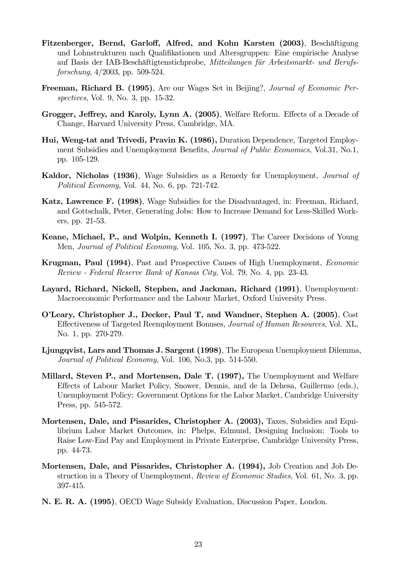- Fitzenberger, Bernd, Garloff, Alfred, and Kohn Karsten (2003), Beschäftigung und Lohnstrukturen nach Qualifikationen und Altersgruppen: Eine empirische Analyse auf Basis der IAB-Beschäftigtenstichprobe, Mitteilungen für Arbeitsmarkt- und Berufsforschung, 4/2003, pp. 509-524.
- Freeman, Richard B. (1995), Are our Wages Set in Beijing?, Journal of Economic Perspectives, Vol. 9, No. 3, pp. 15-32.
- Grogger, Jeffrey, and Karoly, Lynn A. (2005), Welfare Reform. Effects of a Decade of Change, Harvard University Press, Cambridge, MA.
- Hui, Weng-tat and Trivedi, Pravin K. (1986), Duration Dependence, Targeted Employment Subsidies and Unemployment Benefits, Journal of Public Economics, Vol.31, No.1, pp. 105-129.
- Kaldor, Nicholas (1936), Wage Subsidies as a Remedy for Unemployment, Journal of Political Economy, Vol. 44, No. 6, pp. 721-742.
- Katz, Lawrence F. (1998), Wage Subsidies for the Disadvantaged, in: Freeman, Richard, and Gottschalk, Peter, Generating Jobs: How to Increase Demand for Less-Skilled Workers, pp. 21-53.
- Keane, Michael, P., and Wolpin, Kenneth I. (1997), The Career Decisions of Young Men, Journal of Political Economy, Vol. 105, No. 3, pp. 473-522.
- Krugman, Paul (1994), Past and Prospective Causes of High Unemployment, Economic Review - Federal Reserve Bank of Kansas City, Vol. 79, No. 4, pp. 23-43.
- Layard, Richard, Nickell, Stephen, and Jackman, Richard (1991), Unemployment: Macroeconomic Performance and the Labour Market, Oxford University Press.
- O'Leary, Christopher J., Decker, Paul T, and Wandner, Stephen A. (2005), Cost Effectiveness of Targeted Reemployment Bonuses, Journal of Human Resources, Vol. XL, No. 1, pp. 270-279.
- Ljungqvist, Lars and Thomas J. Sargent (1998), The European Unemployment Dilemma, Journal of Political Economy, Vol. 106, No.3, pp. 514-550.
- Millard, Steven P., and Mortensen, Dale T. (1997), The Unemployment and Welfare Effects of Labour Market Policy, Snower, Dennis, and de la Dehesa, Guillermo (eds.), Unemployment Policy: Government Options for the Labor Market, Cambridge University Press, pp. 545-572.
- Mortensen, Dale, and Pissarides, Christopher A. (2003), Taxes, Subsidies and Equilibrium Labor Market Outcomes, in: Phelps, Edmund, Designing Inclusion: Tools to Raise Low-End Pay and Employment in Private Enterprise, Cambridge University Press, pp. 44-73.
- Mortensen, Dale, and Pissarides, Christopher A. (1994), Job Creation and Job Destruction in a Theory of Unemployment, Review of Economic Studies, Vol. 61, No. 3, pp. 397-415.
- N. E. R. A. (1995), OECD Wage Subsidy Evaluation, Discussion Paper, London.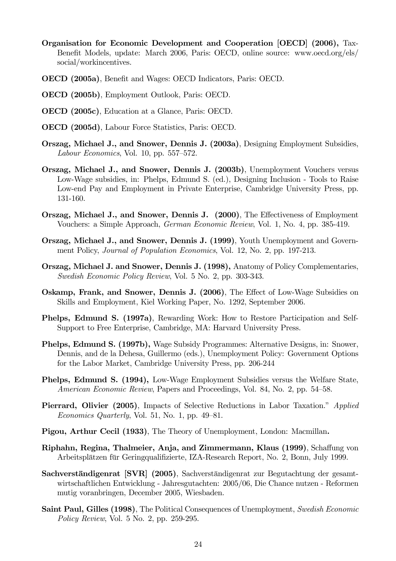- Organisation for Economic Development and Cooperation [OECD] (2006), Tax-Benefit Models, update: March 2006, Paris: OECD, online source: www.oecd.org/els/ social/workincentives.
- OECD (2005a), Benefit and Wages: OECD Indicators, Paris: OECD.
- OECD (2005b), Employment Outlook, Paris: OECD.
- OECD (2005c), Education at a Glance, Paris: OECD.
- OECD (2005d), Labour Force Statistics, Paris: OECD.
- Orszag, Michael J., and Snower, Dennis J. (2003a), Designing Employment Subsidies, Labour Economics, Vol. 10, pp. 557—572.
- Orszag, Michael J., and Snower, Dennis J. (2003b), Unemployment Vouchers versus Low-Wage subsidies, in: Phelps, Edmund S. (ed.), Designing Inclusion - Tools to Raise Low-end Pay and Employment in Private Enterprise, Cambridge University Press, pp. 131-160.
- Orszag, Michael J., and Snower, Dennis J. (2000), The Effectiveness of Employment Vouchers: a Simple Approach, German Economic Review, Vol. 1, No. 4, pp. 385-419.
- Orszag, Michael J., and Snower, Dennis J. (1999), Youth Unemployment and Government Policy, Journal of Population Economics, Vol. 12, No. 2, pp. 197-213.
- Orszag, Michael J. and Snower, Dennis J. (1998), Anatomy of Policy Complementaries, Swedish Economic Policy Review, Vol. 5 No. 2, pp. 303-343.
- Oskamp, Frank, and Snower, Dennis J. (2006), The Effect of Low-Wage Subsidies on Skills and Employment, Kiel Working Paper, No. 1292, September 2006.
- Phelps, Edmund S. (1997a), Rewarding Work: How to Restore Participation and Self-Support to Free Enterprise, Cambridge, MA: Harvard University Press.
- Phelps, Edmund S. (1997b), Wage Subsidy Programmes: Alternative Designs, in: Snower, Dennis, and de la Dehesa, Guillermo (eds.), Unemployment Policy: Government Options for the Labor Market, Cambridge University Press, pp. 206-244
- Phelps, Edmund S. (1994), Low-Wage Employment Subsidies versus the Welfare State, American Economic Review, Papers and Proceedings, Vol. 84, No. 2, pp. 54—58.
- Pierrard, Olivier (2005), Impacts of Selective Reductions in Labor Taxation." Applied Economics Quarterly, Vol. 51, No. 1, pp.  $49-81$ .
- Pigou, Arthur Cecil (1933), The Theory of Unemployment, London: Macmillan.
- Riphahn, Regina, Thalmeier, Anja, and Zimmermann, Klaus (1999), Schaffung von Arbeitsplätzen für Geringqualifizierte, IZA-Research Report, No. 2, Bonn, July 1999.
- Sachverständigenrat [SVR] (2005), Sachverständigenrat zur Begutachtung der gesamtwirtschaftlichen Entwicklung - Jahresgutachten: 2005/06, Die Chance nutzen - Reformen mutig voranbringen, December 2005, Wiesbaden.
- Saint Paul, Gilles (1998), The Political Consequences of Unemployment, Swedish Economic Policy Review, Vol. 5 No. 2, pp. 259-295.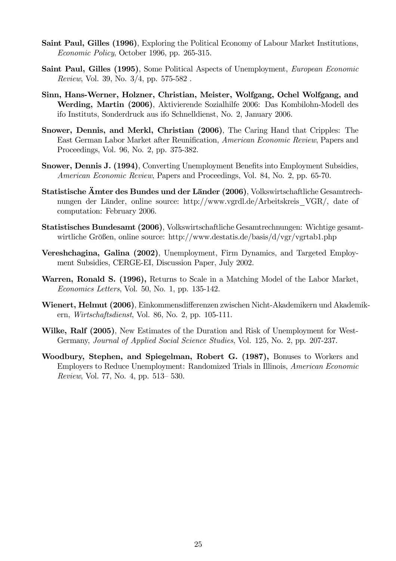- Saint Paul, Gilles (1996), Exploring the Political Economy of Labour Market Institutions, Economic Policy, October 1996, pp. 265-315.
- Saint Paul, Gilles (1995), Some Political Aspects of Unemployment, *European Economic* Review, Vol. 39, No. 3/4, pp. 575-582 .
- Sinn, Hans-Werner, Holzner, Christian, Meister, Wolfgang, Ochel Wolfgang, and Werding, Martin (2006), Aktivierende Sozialhilfe 2006: Das Kombilohn-Modell des ifo Instituts, Sonderdruck aus ifo Schnelldienst, No. 2, January 2006.
- Snower, Dennis, and Merkl, Christian (2006), The Caring Hand that Cripples: The East German Labor Market after Reunification, American Economic Review, Papers and Proceedings, Vol. 96, No. 2, pp. 375-382.
- Snower, Dennis J. (1994), Converting Unemployment Benefits into Employment Subsidies, American Economic Review, Papers and Proceedings, Vol. 84, No. 2, pp. 65-70.
- Statistische Ämter des Bundes und der Länder (2006), Volkswirtschaftliche Gesamtrechnungen der Länder, online source: http://www.vgrdl.de/Arbeitskreis\_VGR/, date of computation: February 2006.
- Statistisches Bundesamt (2006), Volkswirtschaftliche Gesamtrechnungen: Wichtige gesamtwirtliche Größen, online source: http://www.destatis.de/basis/d/vgr/vgrtab1.php
- Vereshchagina, Galina (2002), Unemployment, Firm Dynamics, and Targeted Employment Subsidies, CERGE-EI, Discussion Paper, July 2002.
- Warren, Ronald S. (1996), Returns to Scale in a Matching Model of the Labor Market, Economics Letters, Vol. 50, No. 1, pp. 135-142.
- Wienert, Helmut (2006), Einkommensdifferenzen zwischen Nicht-Akademikern und Akademikern, Wirtschaftsdienst, Vol. 86, No. 2, pp. 105-111.
- Wilke, Ralf (2005), New Estimates of the Duration and Risk of Unemployment for West-Germany, Journal of Applied Social Science Studies, Vol. 125, No. 2, pp. 207-237.
- Woodbury, Stephen, and Spiegelman, Robert G. (1987), Bonuses to Workers and Employers to Reduce Unemployment: Randomized Trials in Illinois, American Economic Review, Vol. 77, No. 4, pp. 513— 530.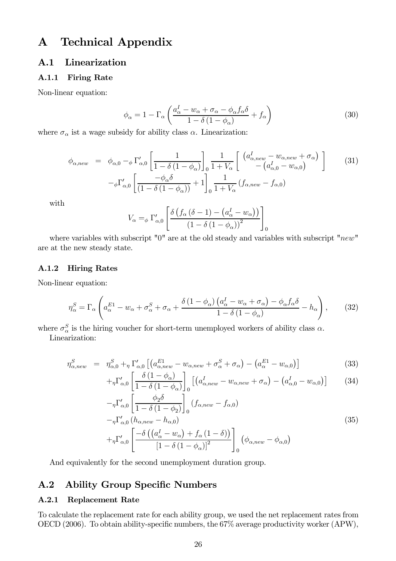# A Technical Appendix

## A.1 Linearization

#### A.1.1 Firing Rate

Non-linear equation:

$$
\phi_{\alpha} = 1 - \Gamma_{\alpha} \left( \frac{a_{\alpha}^{I} - w_{\alpha} + \sigma_{\alpha} - \phi_{\alpha} f_{\alpha} \delta}{1 - \delta \left( 1 - \phi_{\alpha} \right)} + f_{\alpha} \right)
$$
(30)

where  $\sigma_\alpha$  ist a wage subsidy for ability class  $\alpha.$  Linearization:

$$
\phi_{\alpha,new} = \phi_{\alpha,0} - \phi \Gamma'_{\alpha,0} \left[ \frac{1}{1 - \delta (1 - \phi_{\alpha})} \right]_0 \frac{1}{1 + V_{\alpha}} \left[ \begin{array}{c} (a_{\alpha,new}^I - w_{\alpha,new} + \sigma_{\alpha}) \\ - (a_{\alpha,0}^I - w_{\alpha,0}) \end{array} \right] \tag{31}
$$
\n
$$
-\phi \Gamma'_{\alpha,0} \left[ \frac{-\phi_{\alpha}\delta}{(1 - \delta (1 - \phi_{\alpha}))} + 1 \right]_0 \frac{1}{1 + V_{\alpha}} (f_{\alpha,new} - f_{\alpha,0})
$$

with

$$
V_{\alpha} =_{\phi} \Gamma'_{\alpha,0} \left[ \frac{\delta \left( f_{\alpha} \left( \delta - 1 \right) - \left( a_{\alpha}^{I} - w_{\alpha} \right) \right)}{\left( 1 - \delta \left( 1 - \phi_{\alpha} \right) \right)^{2}} \right]_{0}
$$

where variables with subscript "0" are at the old steady and variables with subscript "new" are at the new steady state.

#### A.1.2 Hiring Rates

Non-linear equation:

$$
\eta_{\alpha}^{S} = \Gamma_{\alpha} \left( a_{\alpha}^{E1} - w_{\alpha} + \sigma_{\alpha}^{S} + \sigma_{\alpha} + \frac{\delta \left( 1 - \phi_{\alpha} \right) \left( a_{\alpha}^{I} - w_{\alpha} + \sigma_{\alpha} \right) - \phi_{\alpha} f_{\alpha} \delta}{1 - \delta \left( 1 - \phi_{\alpha} \right)} - h_{\alpha} \right), \tag{32}
$$

where  $\sigma_{\alpha}^{S}$  is the hiring voucher for short-term unemployed workers of ability class  $\alpha$ .

Linearization:

$$
\eta_{\alpha,new}^S = \eta_{\alpha,0}^S + \eta \Gamma_{\alpha,0}' \left[ \left( a_{\alpha,new}^{E1} - w_{\alpha,new} + \sigma_{\alpha}^S + \sigma_{\alpha} \right) - \left( a_{\alpha}^{E1} - w_{\alpha,0} \right) \right]
$$
(33)

$$
+_{\eta} \Gamma'_{\alpha,0} \left[ \frac{\delta (1 - \phi_{\alpha})}{1 - \delta (1 - \phi_{\alpha})} \right]_{0} \left[ \left( a^{I}_{\alpha, new} - w_{\alpha, new} + \sigma_{\alpha} \right) - \left( a^{I}_{\alpha,0} - w_{\alpha,0} \right) \right]
$$
(34)

$$
-\eta \Gamma'_{\alpha,0} \left[ \frac{\varphi_2}{1 - \delta (1 - \phi_2)} \right]_0 (f_{\alpha,new} - f_{\alpha,0})
$$
  

$$
-\eta \Gamma'_{\alpha,0} (h_{\alpha,new} - h_{\alpha,0})
$$
  

$$
+\eta \Gamma'_{\alpha,0} \left[ \frac{-\delta ((a^I_{\alpha} - w_{\alpha}) + f_{\alpha} (1 - \delta))}{[1 - \delta (1 - \phi_{\alpha})]^2} \right]_0 (\phi_{\alpha,new} - \phi_{\alpha,0})
$$
  
(35)

And equivalently for the second unemployment duration group.

## A.2 Ability Group Specific Numbers

#### A.2.1 Replacement Rate

To calculate the replacement rate for each ability group, we used the net replacement rates from OECD (2006). To obtain ability-specific numbers, the 67% average productivity worker (APW),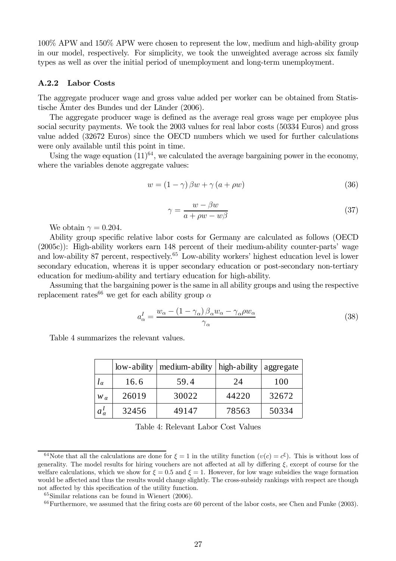100% APW and 150% APW were chosen to represent the low, medium and high-ability group in our model, respectively. For simplicity, we took the unweighted average across six family types as well as over the initial period of unemployment and long-term unemployment.

#### A.2.2 Labor Costs

The aggregate producer wage and gross value added per worker can be obtained from Statistische Ämter des Bundes und der Länder (2006).

The aggregate producer wage is defined as the average real gross wage per employee plus social security payments. We took the 2003 values for real labor costs (50334 Euros) and gross value added (32672 Euros) since the OECD numbers which we used for further calculations were only available until this point in time.

Using the wage equation  $(11)^{64}$ , we calculated the average bargaining power in the economy, where the variables denote aggregate values:

$$
w = (1 - \gamma) \beta w + \gamma (a + \rho w) \tag{36}
$$

$$
\gamma = \frac{w - \beta w}{a + \rho w - w\beta} \tag{37}
$$

We obtain  $\gamma = 0.204$ .

Ability group specific relative labor costs for Germany are calculated as follows (OECD (2005c)): High-ability workers earn 148 percent of their medium-ability counter-parts' wage and low-ability 87 percent, respectively.<sup>65</sup> Low-ability workers' highest education level is lower secondary education, whereas it is upper secondary education or post-secondary non-tertiary education for medium-ability and tertiary education for high-ability.

Assuming that the bargaining power is the same in all ability groups and using the respective replacement rates<sup>66</sup> we get for each ability group  $\alpha$ 

$$
a_{\alpha}^{I} = \frac{w_{\alpha} - (1 - \gamma_{\alpha})\beta_{\alpha}w_{\alpha} - \gamma_{\alpha}\rho w_{\alpha}}{\gamma_{\alpha}}
$$
\n(38)

Table 4 summarizes the relevant values.

|                  | low-ability | medium-ability | high-ability | aggregate |
|------------------|-------------|----------------|--------------|-----------|
| $\iota_{\alpha}$ | 16.6        | 59.4           | 24           | 100       |
| $W_{\alpha}$     | 26019       | 30022          | 44220        | 32672     |
| $a_{\alpha}^{I}$ | 32456       | 49147          | 78563        | 50334     |

Table 4: Relevant Labor Cost Values

<sup>&</sup>lt;sup>64</sup>Note that all the calculations are done for  $\xi = 1$  in the utility function  $(v(c) = c^{\xi})$ . This is without loss of generality. The model results for hiring vouchers are not affected at all by differing  $\xi$ , except of course for the welfare calculations, which we show for  $\xi = 0.5$  and  $\xi = 1$ . However, for low wage subsidies the wage formation would be affected and thus the results would change slightly. The cross-subsidy rankings with respect are though not affected by this specification of the utility function.

<sup>65</sup>Similar relations can be found in Wienert (2006).

 $66$  Furthermore, we assumed that the firing costs are 60 percent of the labor costs, see Chen and Funke (2003).